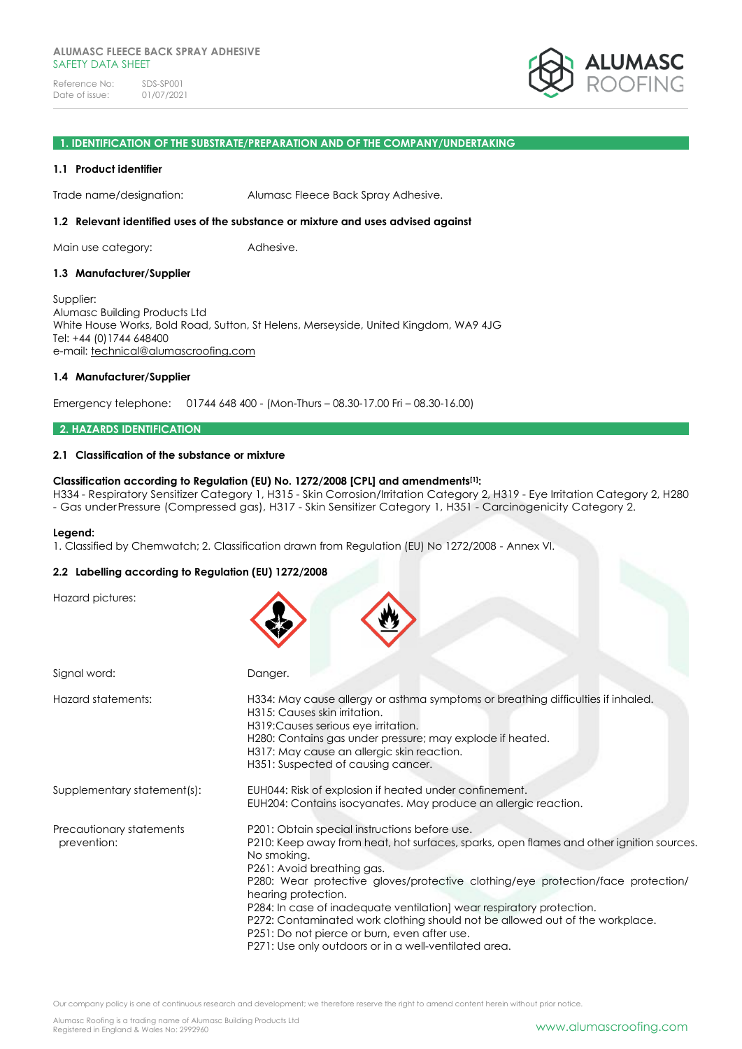

### **1. IDENTIFICATION OF THE SUBSTRATE/PREPARATION AND OF THE COMPANY/UNDERTAKING**

#### **1.1 Product identifier**

Trade name/designation: Alumasc Fleece Back Spray Adhesive.

#### **1.2 Relevant identified uses of the substance or mixture and uses advised against**

Main use category: **Adhesive.** 

#### **1.3 Manufacturer/Supplier**

Supplier: Alumasc Building Products Ltd White House Works, Bold Road, Sutton, St Helens, Merseyside, United Kingdom, WA9 4JG Tel: +44 (0)1744 648400 e-mail: [technical@alumascroofing.com](mailto:technical@alumascroofing.com)

#### **1.4 Manufacturer/Supplier**

Emergency telephone: 01744 648 400 - (Mon-Thurs – 08.30-17.00 Fri – 08.30-16.00)

#### **2. HAZARDS IDENTIFICATION**

#### **2.1 Classification of the substance or mixture**

#### **Classification according to Regulation (EU) No. 1272/2008 [CPL] and amendments[1]:**

H334 - Respiratory Sensitizer Category 1, H315 - Skin Corrosion/Irritation Category 2, H319 - Eye Irritation Category 2, H280 - Gas underPressure (Compressed gas), H317 - Skin Sensitizer Category 1, H351 - Carcinogenicity Category 2.

### **Legend:**

1. Classified by Chemwatch; 2. Classification drawn from Regulation (EU) No 1272/2008 - Annex VI.

### **2.2 Labelling according to Regulation (EU) 1272/2008**

| Signal word:                            | Danger.                                                                                                                                                                                                                                                                                                                                                                                                                                                                                                                                                            |
|-----------------------------------------|--------------------------------------------------------------------------------------------------------------------------------------------------------------------------------------------------------------------------------------------------------------------------------------------------------------------------------------------------------------------------------------------------------------------------------------------------------------------------------------------------------------------------------------------------------------------|
| Hazard statements:                      | H334: May cause allergy or asthma symptoms or breathing difficulties if inhaled.<br>H315: Causes skin irritation.<br>H319: Causes serious eye irritation.<br>H280: Contains gas under pressure; may explode if heated.<br>H317: May cause an allergic skin reaction.<br>H351: Suspected of causing cancer.                                                                                                                                                                                                                                                         |
| Supplementary statement(s):             | EUH044: Risk of explosion if heated under confinement.<br>EUH204: Contains isocyanates. May produce an allergic reaction.                                                                                                                                                                                                                                                                                                                                                                                                                                          |
| Precautionary statements<br>prevention: | P201: Obtain special instructions before use.<br>P210: Keep away from heat, hot surfaces, sparks, open flames and other ignition sources.<br>No smoking.<br>P261: Avoid breathing gas.<br>P280: Wear protective gloves/protective clothing/eye protection/face protection/<br>hearing protection.<br>P284: In case of inadequate ventilation wear respiratory protection.<br>P272: Contaminated work clothing should not be allowed out of the workplace.<br>P251: Do not pierce or burn, even after use.<br>P271: Use only outdoors or in a well-ventilated area. |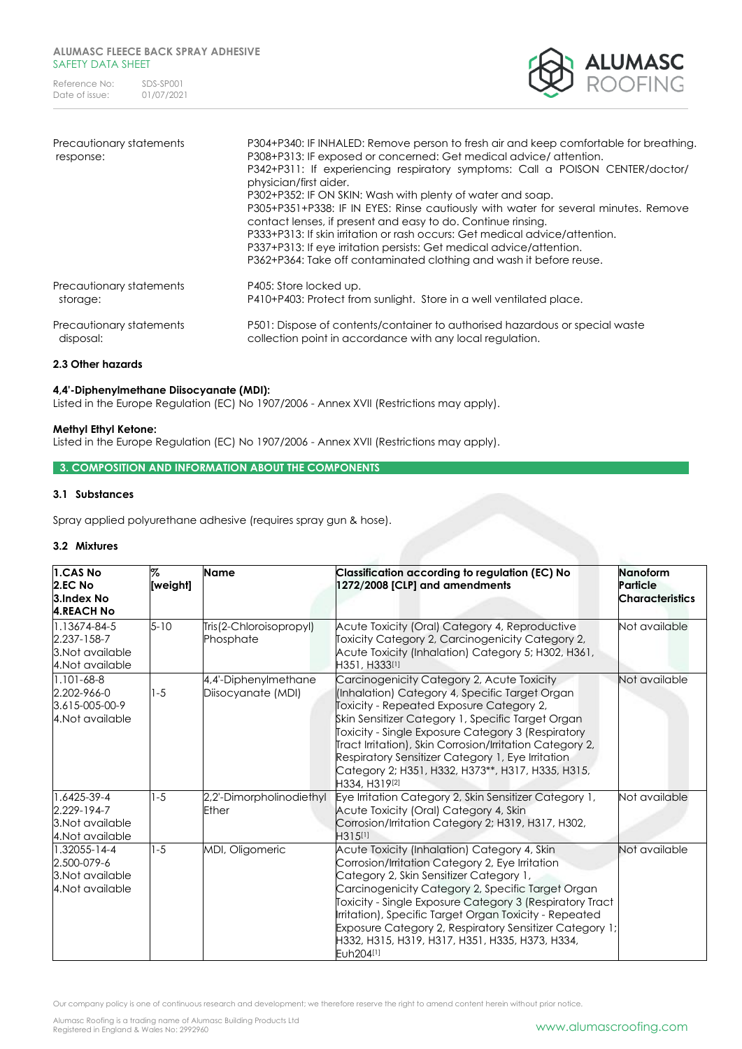| Reference No:  | SDS-SP001  |
|----------------|------------|
| Date of issue: | 01/07/2021 |



| Precautionary statements<br>response: | P304+P340: IF INHALED: Remove person to fresh air and keep comfortable for breathing.<br>P308+P313: IF exposed or concerned: Get medical advice/attention.<br>P342+P311: If experiencing respiratory symptoms: Call a POISON CENTER/doctor/<br>physician/first aider.<br>P302+P352: IF ON SKIN: Wash with plenty of water and soap.<br>P305+P351+P338: IF IN EYES: Rinse cautiously with water for several minutes. Remove<br>contact lenses, if present and easy to do. Continue rinsing.<br>P333+P313: If skin irritation or rash occurs: Get medical advice/attention.<br>P337+P313: If eye irritation persists: Get medical advice/attention.<br>P362+P364: Take off contaminated clothing and wash it before reuse. |
|---------------------------------------|--------------------------------------------------------------------------------------------------------------------------------------------------------------------------------------------------------------------------------------------------------------------------------------------------------------------------------------------------------------------------------------------------------------------------------------------------------------------------------------------------------------------------------------------------------------------------------------------------------------------------------------------------------------------------------------------------------------------------|
| Precautionary statements              | P405: Store locked up.                                                                                                                                                                                                                                                                                                                                                                                                                                                                                                                                                                                                                                                                                                   |
| storage:                              | P410+P403: Protect from sunlight. Store in a well ventilated place.                                                                                                                                                                                                                                                                                                                                                                                                                                                                                                                                                                                                                                                      |
| Precautionary statements              | P501: Dispose of contents/container to authorised hazardous or special waste                                                                                                                                                                                                                                                                                                                                                                                                                                                                                                                                                                                                                                             |
| disposal:                             | collection point in accordance with any local regulation.                                                                                                                                                                                                                                                                                                                                                                                                                                                                                                                                                                                                                                                                |

# **2.3 Other hazards**

### **4,4'-Diphenylmethane Diisocyanate (MDI):**

Listed in the Europe Regulation (EC) No 1907/2006 - Annex XVII (Restrictions may apply).

### **Methyl Ethyl Ketone:**

Listed in the Europe Regulation (EC) No 1907/2006 - Annex XVII (Restrictions may apply).

# **3. COMPOSITION AND INFORMATION ABOUT THE COMPONENTS**

# **3.1 Substances**

Spray applied polyurethane adhesive (requires spray gun & hose).

### **3.2 Mixtures**

| 1.CAS No<br>2.EC No<br>3.Index No<br><b>4.REACH No</b>                | %<br>[weight] | <b>Name</b>                                | <b>Classification according to regulation (EC) No</b><br>1272/2008 [CLP] and amendments                                                                                                                                                                                                                                                                                                                                                                | <b>Nanoform</b><br>Particle<br><b>Characteristics</b> |
|-----------------------------------------------------------------------|---------------|--------------------------------------------|--------------------------------------------------------------------------------------------------------------------------------------------------------------------------------------------------------------------------------------------------------------------------------------------------------------------------------------------------------------------------------------------------------------------------------------------------------|-------------------------------------------------------|
| 1.13674-84-5<br>2.237-158-7<br>3. Not available<br>4. Not available   | $5 - 10$      | Tris(2-Chloroisopropyl)<br>Phosphate       | Acute Toxicity (Oral) Category 4, Reproductive<br>Toxicity Category 2, Carcinogenicity Category 2,<br>Acute Toxicity (Inhalation) Category 5; H302, H361,<br>H351, H333[1]                                                                                                                                                                                                                                                                             | Not available                                         |
| $1.101 - 68 - 8$<br>2.202-966-0<br>3.615-005-00-9<br>4. Not available | $-5$          | 4,4'-Diphenylmethane<br>Diisocyanate (MDI) | Carcinogenicity Category 2, Acute Toxicity<br>(Inhalation) Category 4, Specific Target Organ<br>Toxicity - Repeated Exposure Category 2,<br>Skin Sensitizer Category 1, Specific Target Organ<br>Toxicity - Single Exposure Category 3 (Respiratory<br>Tract Irritation), Skin Corrosion/Irritation Category 2,<br>Respiratory Sensitizer Category 1, Eye Irritation<br>Category 2; H351, H332, H373**, H317, H335, H315,<br>H334, H319 <sup>[2]</sup> | Not available                                         |
| 1.6425-39-4<br>2.229-194-7<br>3.Not available<br>4. Not available     | $-5$          | 2,2'-Dimorpholinodiethyl<br>Ether          | Eye Irritation Category 2, Skin Sensitizer Category 1,<br>Acute Toxicity (Oral) Category 4, Skin<br>Corrosion/Irritation Category 2; H319, H317, H302,<br>H315[1]                                                                                                                                                                                                                                                                                      | Not available                                         |
| 1.32055-14-4<br>2.500-079-6<br>3. Not available<br>4. Not available   | $-5$          | MDI, Oligomeric                            | Acute Toxicity (Inhalation) Category 4, Skin<br>Corrosion/Irritation Category 2, Eye Irritation<br>Category 2, Skin Sensitizer Category 1,<br>Carcinogenicity Category 2, Specific Target Organ<br>Toxicity - Single Exposure Category 3 (Respiratory Tract<br>Irritation), Specific Target Organ Toxicity - Repeated<br>Exposure Category 2, Respiratory Sensitizer Category 1;<br>H332, H315, H319, H317, H351, H335, H373, H334,<br>Euh204[1]       | Not available                                         |

Our company policy is one of continuous research and development; we therefore reserve the right to amend content herein without prior notice.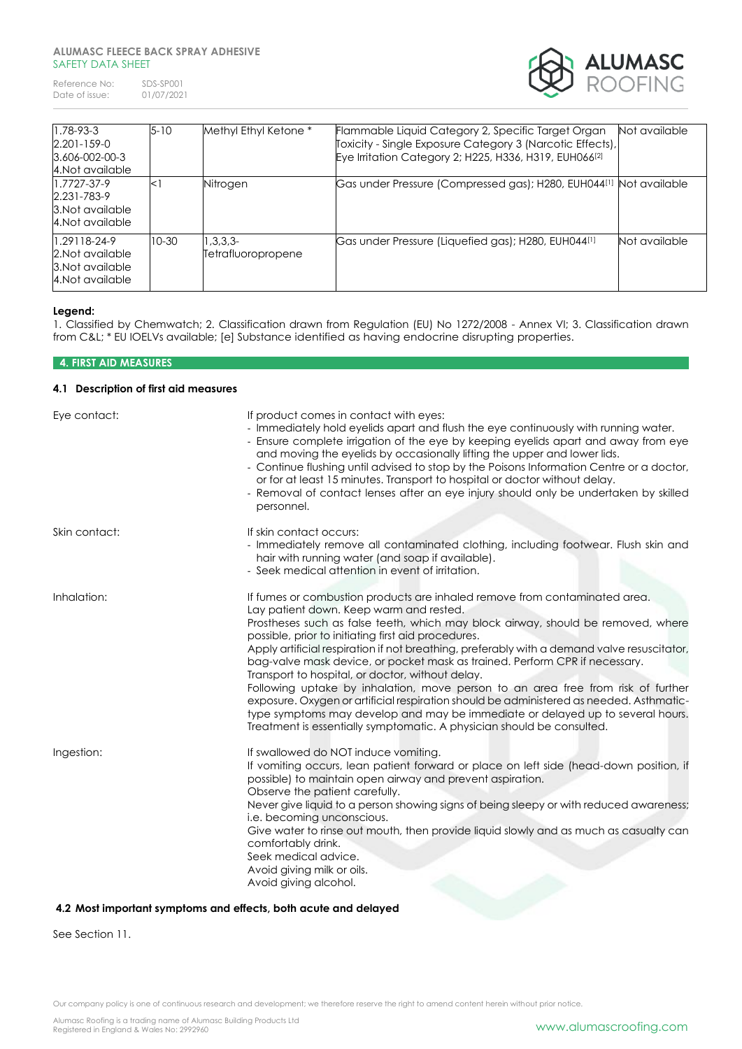Reference No: SDS-SP001<br>Date of issue: 01/07/2021 Date of issue:



| 1.78-93-3<br>$2.201 - 159 - 0$<br>3.606-002-00-3<br>4. Not available     | $5 - 10$  | Methyl Ethyl Ketone *            | Flammable Liquid Category 2, Specific Target Organ<br>Toxicity - Single Exposure Category 3 (Narcotic Effects),<br>Eye Irritation Category 2; H225, H336, H319, EUH066 <sup>[2]</sup> | Not available |
|--------------------------------------------------------------------------|-----------|----------------------------------|---------------------------------------------------------------------------------------------------------------------------------------------------------------------------------------|---------------|
| $1.7727 - 37 - 9$<br>2.231-783-9<br>3. Not available<br>4. Not available |           | Nitrogen                         | Gas under Pressure (Compressed gas); H280, EUH044 <sup>[1]</sup> Not available                                                                                                        |               |
| 1.29118-24-9<br>2. Not available<br>3. Not available<br>4. Not available | $10 - 30$ | $1.3.3.3-$<br>Tetrafluoropropene | Gas under Pressure (Liquefied gas); H280, EUH044[1]                                                                                                                                   | Not available |

### **Legend:**

1. Classified by Chemwatch; 2. Classification drawn from Regulation (EU) No 1272/2008 - Annex VI; 3. Classification drawn from C&L; \* EU IOELVs available; [e] Substance identified as having endocrine disrupting properties.

# **4. FIRST AID MEASURES**

### **4.1 Description of first aid measures**

| Eye contact:  | If product comes in contact with eyes:<br>- Immediately hold eyelids apart and flush the eye continuously with running water.<br>- Ensure complete irrigation of the eye by keeping eyelids apart and away from eye<br>and moving the eyelids by occasionally lifting the upper and lower lids.<br>- Continue flushing until advised to stop by the Poisons Information Centre or a doctor,<br>or for at least 15 minutes. Transport to hospital or doctor without delay.<br>- Removal of contact lenses after an eye injury should only be undertaken by skilled<br>personnel.                                                                                                                                                                                                                                                               |
|---------------|-----------------------------------------------------------------------------------------------------------------------------------------------------------------------------------------------------------------------------------------------------------------------------------------------------------------------------------------------------------------------------------------------------------------------------------------------------------------------------------------------------------------------------------------------------------------------------------------------------------------------------------------------------------------------------------------------------------------------------------------------------------------------------------------------------------------------------------------------|
| Skin contact: | If skin contact occurs:<br>- Immediately remove all contaminated clothing, including footwear. Flush skin and<br>hair with running water (and soap if available).<br>- Seek medical attention in event of irritation.                                                                                                                                                                                                                                                                                                                                                                                                                                                                                                                                                                                                                         |
| Inhalation:   | If fumes or combustion products are inhaled remove from contaminated area.<br>Lay patient down. Keep warm and rested.<br>Prostheses such as false teeth, which may block airway, should be removed, where<br>possible, prior to initiating first aid procedures.<br>Apply artificial respiration if not breathing, preferably with a demand valve resuscitator,<br>bag-valve mask device, or pocket mask as trained. Perform CPR if necessary.<br>Transport to hospital, or doctor, without delay.<br>Following uptake by inhalation, move person to an area free from risk of further<br>exposure. Oxygen or artificial respiration should be administered as needed. Asthmatic-<br>type symptoms may develop and may be immediate or delayed up to several hours.<br>Treatment is essentially symptomatic. A physician should be consulted. |
| Ingestion:    | If swallowed do NOT induce vomiting.<br>If vomiting occurs, lean patient forward or place on left side (head-down position, if<br>possible) to maintain open airway and prevent aspiration.<br>Observe the patient carefully.<br>Never give liquid to a person showing signs of being sleepy or with reduced awareness;<br><i>i.e.</i> becoming unconscious.<br>Give water to rinse out mouth, then provide liquid slowly and as much as casualty can<br>comfortably drink.<br>Seek medical advice.<br>Avoid giving milk or oils.<br>Avoid giving alcohol.                                                                                                                                                                                                                                                                                    |

## **4.2 Most important symptoms and effects, both acute and delayed**

See Section 11.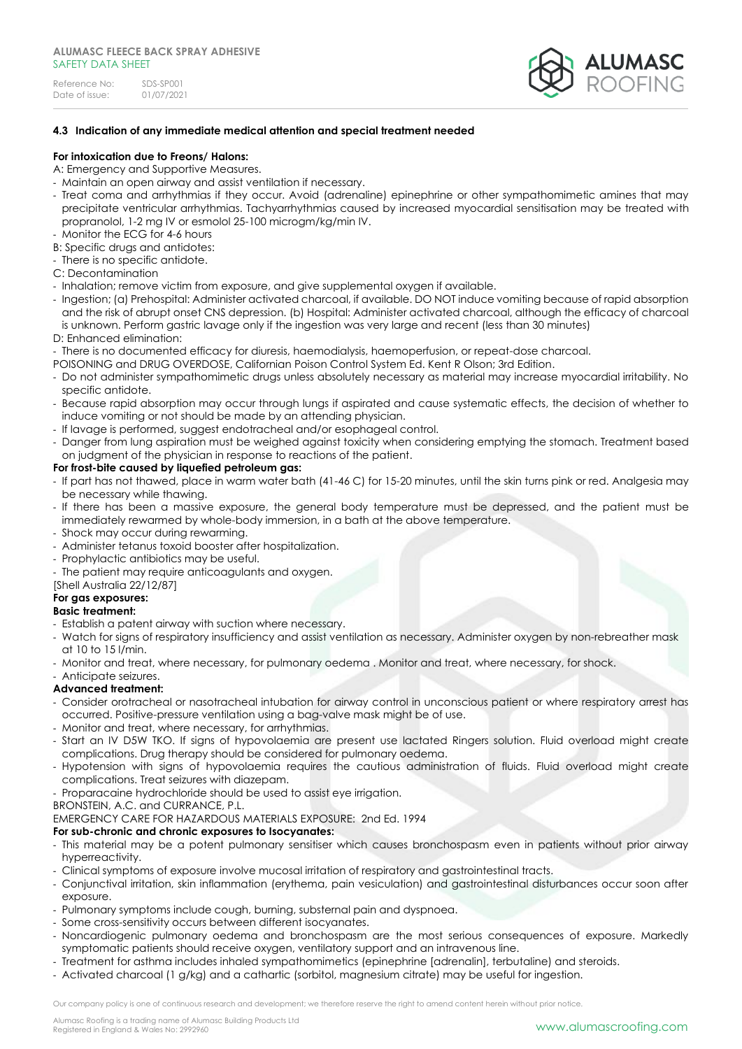

## **4.3 Indication of any immediate medical attention and special treatment needed**

# **For intoxication due to Freons/ Halons:**

- A: Emergency and Supportive Measures.
- Maintain an open airway and assist ventilation if necessary.
- Treat coma and arrhythmias if they occur. Avoid (adrenaline) epinephrine or other sympathomimetic amines that may precipitate ventricular arrhythmias. Tachyarrhythmias caused by increased myocardial sensitisation may be treated with propranolol, 1-2 mg IV or esmolol 25-100 microgm/kg/min IV.
- Monitor the ECG for 4-6 hours
- B: Specific drugs and antidotes:

- There is no specific antidote.

C: Decontamination

- Inhalation; remove victim from exposure, and give supplemental oxygen if available.
- Ingestion; (a) Prehospital: Administer activated charcoal, if available. DO NOT induce vomiting because of rapid absorption and the risk of abrupt onset CNS depression. (b) Hospital: Administer activated charcoal, although the efficacy of charcoal is unknown. Perform gastric lavage only if the ingestion was very large and recent (less than 30 minutes)

#### D: Enhanced elimination:

- There is no documented efficacy for diuresis, haemodialysis, haemoperfusion, or repeat-dose charcoal.

- POISONING and DRUG OVERDOSE, Californian Poison Control System Ed. Kent R Olson; 3rd Edition.
- Do not administer sympathomimetic drugs unless absolutely necessary as material may increase myocardial irritability. No specific antidote.
- Because rapid absorption may occur through lungs if aspirated and cause systematic effects, the decision of whether to induce vomiting or not should be made by an attending physician.
- If lavage is performed, suggest endotracheal and/or esophageal control.
- Danger from lung aspiration must be weighed against toxicity when considering emptying the stomach. Treatment based on judgment of the physician in response to reactions of the patient.

### **For frost-bite caused by liquefied petroleum gas:**

- If part has not thawed, place in warm water bath (41-46 C) for 15-20 minutes, until the skin turns pink or red. Analgesia may be necessary while thawing.
- If there has been a massive exposure, the general body temperature must be depressed, and the patient must be immediately rewarmed by whole-body immersion, in a bath at the above temperature.
- Shock may occur during rewarming.
- Administer tetanus toxoid booster after hospitalization.
- Prophylactic antibiotics may be useful.
- The patient may require anticoagulants and oxygen.
- [Shell Australia 22/12/87]

# **For gas exposures:**

### **Basic treatment:**

- Establish a patent airway with suction where necessary.
- Watch for signs of respiratory insufficiency and assist ventilation as necessary. Administer oxygen by non-rebreather mask at 10 to 15 l/min.
- Monitor and treat, where necessary, for pulmonary oedema . Monitor and treat, where necessary, for shock.

### - Anticipate seizures.

### **Advanced treatment:**

- Consider orotracheal or nasotracheal intubation for airway control in unconscious patient or where respiratory arrest has occurred. Positive-pressure ventilation using a bag-valve mask might be of use.
- Monitor and treat, where necessary, for arrhythmias.
- Start an IV D5W TKO. If signs of hypovolaemia are present use lactated Ringers solution. Fluid overload might create complications. Drug therapy should be considered for pulmonary oedema.
- Hypotension with signs of hypovolaemia requires the cautious administration of fluids. Fluid overload might create complications. Treat seizures with diazepam.

- Proparacaine hydrochloride should be used to assist eye irrigation.

BRONSTEIN, A.C. and CURRANCE, P.L.

EMERGENCY CARE FOR HAZARDOUS MATERIALS EXPOSURE: 2nd Ed. 1994

### **For sub-chronic and chronic exposures to Isocyanates:**

- This material may be a potent pulmonary sensitiser which causes bronchospasm even in patients without prior airway hyperreactivity.
- Clinical symptoms of exposure involve mucosal irritation of respiratory and gastrointestinal tracts.
- Conjunctival irritation, skin inflammation (erythema, pain vesiculation) and gastrointestinal disturbances occur soon after exposure.
- Pulmonary symptoms include cough, burning, substernal pain and dyspnoea.
- Some cross-sensitivity occurs between different isocyanates.
- Noncardiogenic pulmonary oedema and bronchospasm are the most serious consequences of exposure. Markedly symptomatic patients should receive oxygen, ventilatory support and an intravenous line.
- Treatment for asthma includes inhaled sympathomimetics (epinephrine [adrenalin], terbutaline) and steroids.
- Activated charcoal (1 g/kg) and a cathartic (sorbitol, magnesium citrate) may be useful for ingestion.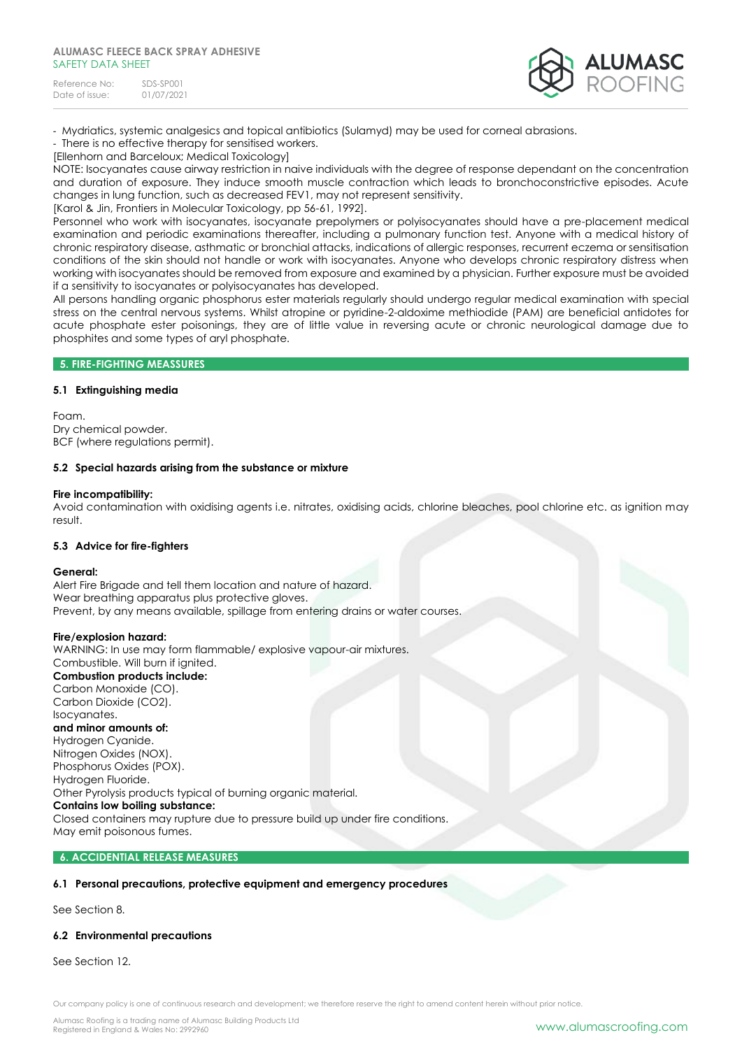| Reference No:  | SDS-SP001  |
|----------------|------------|
| Date of issue: | 01/07/2021 |



- Mydriatics, systemic analgesics and topical antibiotics (Sulamyd) may be used for corneal abrasions.

#### - There is no effective therapy for sensitised workers.

[Ellenhorn and Barceloux; Medical Toxicology]

NOTE: Isocyanates cause airway restriction in naive individuals with the degree of response dependant on the concentration and duration of exposure. They induce smooth muscle contraction which leads to bronchoconstrictive episodes. Acute changes in lung function, such as decreased FEV1, may not represent sensitivity.

[Karol & Jin, Frontiers in Molecular Toxicology, pp 56-61, 1992].

Personnel who work with isocyanates, isocyanate prepolymers or polyisocyanates should have a pre-placement medical examination and periodic examinations thereafter, including a pulmonary function test. Anyone with a medical history of chronic respiratory disease, asthmatic or bronchial attacks, indications of allergic responses, recurrent eczema or sensitisation conditions of the skin should not handle or work with isocyanates. Anyone who develops chronic respiratory distress when working with isocyanates should be removed from exposure and examined by a physician. Further exposure must be avoided if a sensitivity to isocyanates or polyisocyanates has developed.

All persons handling organic phosphorus ester materials regularly should undergo regular medical examination with special stress on the central nervous systems. Whilst atropine or pyridine-2-aldoxime methiodide (PAM) are beneficial antidotes for acute phosphate ester poisonings, they are of little value in reversing acute or chronic neurological damage due to phosphites and some types of aryl phosphate.

# **5. FIRE-FIGHTING MEASSURES**

### **5.1 Extinguishing media**

Foam. Dry chemical powder. BCF (where regulations permit).

### **5.2 Special hazards arising from the substance or mixture**

### **Fire incompatibility:**

Avoid contamination with oxidising agents i.e. nitrates, oxidising acids, chlorine bleaches, pool chlorine etc. as ignition may result.

### **5.3 Advice for fire-fighters**

### **General:**

Alert Fire Brigade and tell them location and nature of hazard. Wear breathing apparatus plus protective gloves. Prevent, by any means available, spillage from entering drains or water courses.

### **Fire/explosion hazard:**

WARNING: In use may form flammable/ explosive vapour-air mixtures. Combustible. Will burn if ignited. **Combustion products include:** 

Carbon Monoxide (CO). Carbon Dioxide (CO2). Isocyanates. **and minor amounts of:**

Hydrogen Cyanide. Nitrogen Oxides (NOX). Phosphorus Oxides (POX). Hydrogen Fluoride. Other Pyrolysis products typical of burning organic material. **Contains low boiling substance:**  Closed containers may rupture due to pressure build up under fire conditions. May emit poisonous fumes.

# **6. ACCIDENTIAL RELEASE MEASURES**

# **6.1 Personal precautions, protective equipment and emergency procedures**

# See Section 8.

# **6.2 Environmental precautions**

See Section 12.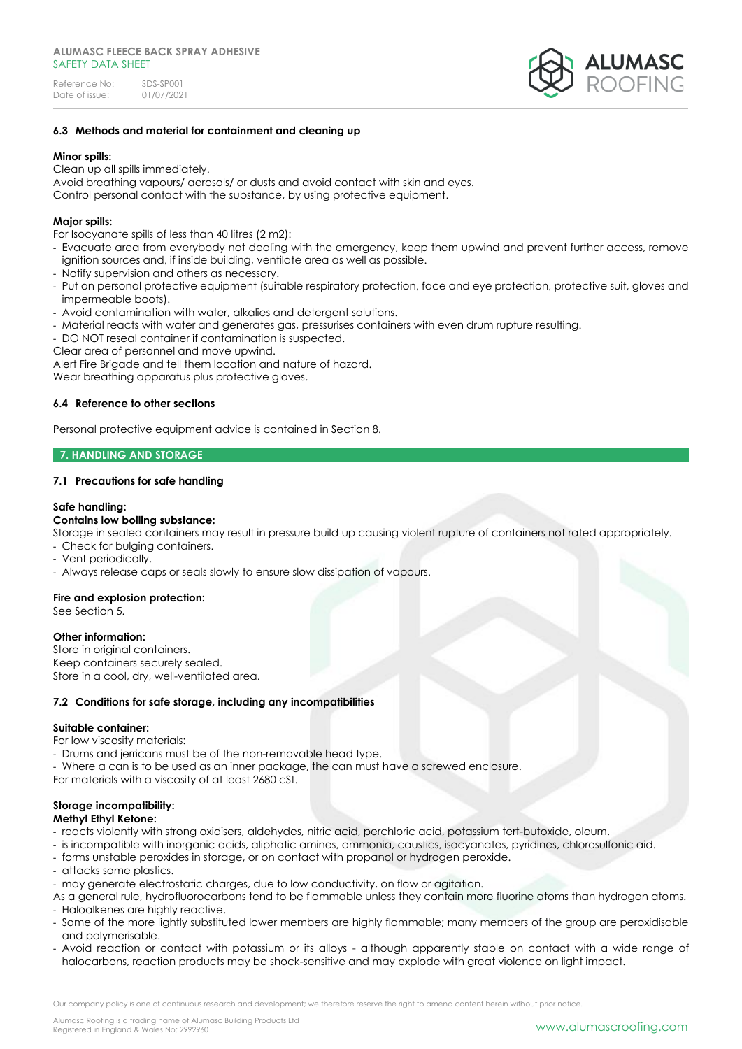

# **6.3 Methods and material for containment and cleaning up**

### **Minor spills:**

Clean up all spills immediately.

Avoid breathing vapours/ aerosols/ or dusts and avoid contact with skin and eyes. Control personal contact with the substance, by using protective equipment.

### **Major spills:**

For Isocyanate spills of less than 40 litres (2 m2):

- Evacuate area from everybody not dealing with the emergency, keep them upwind and prevent further access, remove ignition sources and, if inside building, ventilate area as well as possible.
- Notify supervision and others as necessary.
- Put on personal protective equipment (suitable respiratory protection, face and eye protection, protective suit, gloves and impermeable boots).
- Avoid contamination with water, alkalies and detergent solutions.
- Material reacts with water and generates gas, pressurises containers with even drum rupture resulting.
- DO NOT reseal container if contamination is suspected.

Clear area of personnel and move upwind.

Alert Fire Brigade and tell them location and nature of hazard.

Wear breathing apparatus plus protective gloves.

### **6.4 Reference to other sections**

Personal protective equipment advice is contained in Section 8.

### **7. HANDLING AND STORAGE**

### **7.1 Precautions for safe handling**

### **Safe handling:**

**Contains low boiling substance:**

Storage in sealed containers may result in pressure build up causing violent rupture of containers not rated appropriately.

- Check for bulging containers.
- Vent periodically.
- Always release caps or seals slowly to ensure slow dissipation of vapours.

### **Fire and explosion protection:**

See Section 5.

### **Other information:**

Store in original containers. Keep containers securely sealed. Store in a cool, dry, well-ventilated area.

### **7.2 Conditions for safe storage, including any incompatibilities**

### **Suitable container:**

For low viscosity materials:

- Drums and jerricans must be of the non-removable head type.
- Where a can is to be used as an inner package, the can must have a screwed enclosure.

For materials with a viscosity of at least 2680 cSt.

### **Storage incompatibility: Methyl Ethyl Ketone:**

- reacts violently with strong oxidisers, aldehydes, nitric acid, perchloric acid, potassium tert-butoxide, oleum.
- is incompatible with inorganic acids, aliphatic amines, ammonia, caustics, isocyanates, pyridines, chlorosulfonic aid.
- forms unstable peroxides in storage, or on contact with propanol or hydrogen peroxide.
- attacks some plastics.
- may generate electrostatic charges, due to low conductivity, on flow or agitation.
- As a general rule, hydrofluorocarbons tend to be flammable unless they contain more fluorine atoms than hydrogen atoms. - Haloalkenes are highly reactive.
- Some of the more lightly substituted lower members are highly flammable; many members of the group are peroxidisable and polymerisable.
- Avoid reaction or contact with potassium or its alloys although apparently stable on contact with a wide range of halocarbons, reaction products may be shock-sensitive and may explode with great violence on light impact.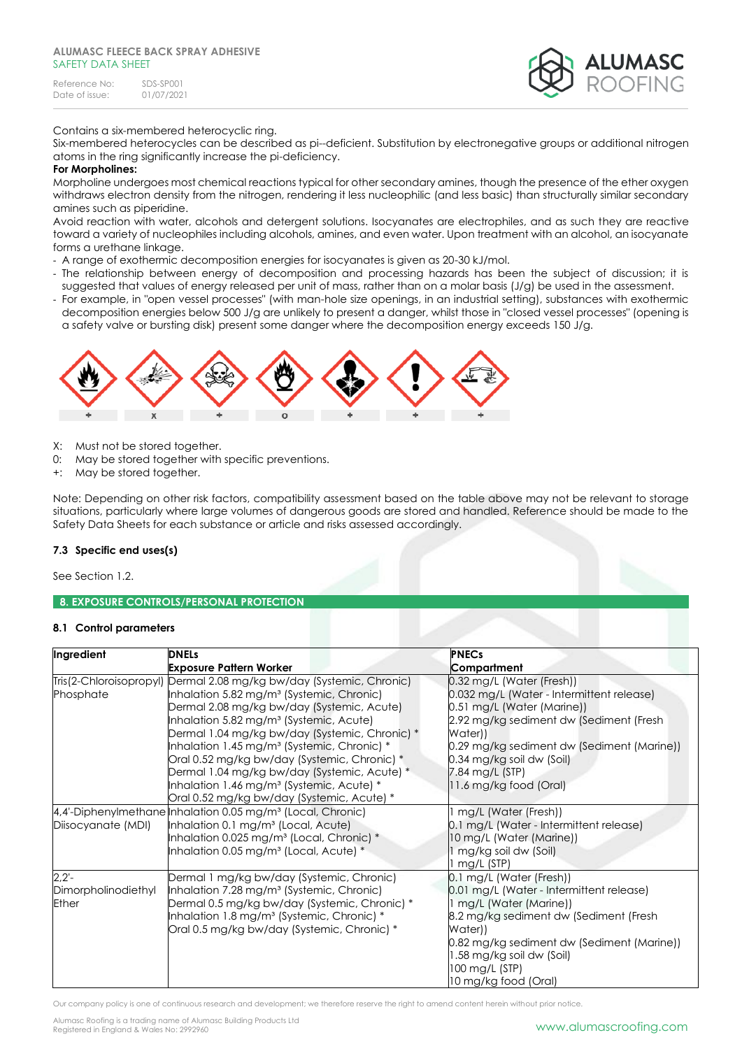| Reference No:  | SDS-SP001  |
|----------------|------------|
| Date of issue: | 01/07/2021 |



Contains a six-membered heterocyclic ring.

Six-membered heterocycles can be described as pi--deficient. Substitution by electronegative groups or additional nitrogen atoms in the ring significantly increase the pi-deficiency.

# **For Morpholines:**

Morpholine undergoes most chemical reactions typical for other secondary amines, though the presence of the ether oxygen withdraws electron density from the nitrogen, rendering it less nucleophilic (and less basic) than structurally similar secondary amines such as piperidine.

Avoid reaction with water, alcohols and detergent solutions. Isocyanates are electrophiles, and as such they are reactive toward a variety of nucleophiles including alcohols, amines, and even water. Upon treatment with an alcohol, an isocyanate forms a urethane linkage.

- A range of exothermic decomposition energies for isocyanates is given as 20-30 kJ/mol.
- The relationship between energy of decomposition and processing hazards has been the subject of discussion; it is suggested that values of energy released per unit of mass, rather than on a molar basis (J/g) be used in the assessment.
- For example, in "open vessel processes" (with man-hole size openings, in an industrial setting), substances with exothermic decomposition energies below 500 J/g are unlikely to present a danger, whilst those in "closed vessel processes" (opening is a safety valve or bursting disk) present some danger where the decomposition energy exceeds 150 J/g.



- X: Must not be stored together.
- 0: May be stored together with specific preventions.
- +: May be stored together.

Note: Depending on other risk factors, compatibility assessment based on the table above may not be relevant to storage situations, particularly where large volumes of dangerous goods are stored and handled. Reference should be made to the Safety Data Sheets for each substance or article and risks assessed accordingly.

### **7.3 Specific end uses(s)**

See Section 1.2.

# **8. EXPOSURE CONTROLS/PERSONAL PROTECTION**

### **8.1 Control parameters**

| Ingredient          | <b>DNELs</b>                                                            | <b>PNECs</b>                               |  |  |
|---------------------|-------------------------------------------------------------------------|--------------------------------------------|--|--|
|                     | <b>Exposure Pattern Worker</b>                                          | Compartment                                |  |  |
|                     | Tris(2-Chloroisopropyl) Dermal 2.08 mg/kg bw/day (Systemic, Chronic)    | 0.32 mg/L (Water (Fresh))                  |  |  |
| Phosphate           | Inhalation 5.82 mg/m <sup>3</sup> (Systemic, Chronic)                   | 0.032 mg/L (Water - Intermittent release)  |  |  |
|                     | Dermal 2.08 mg/kg bw/day (Systemic, Acute)                              | 0.51 mg/L (Water (Marine))                 |  |  |
|                     | Inhalation 5.82 mg/m <sup>3</sup> (Systemic, Acute)                     | 2.92 mg/kg sediment dw (Sediment (Fresh    |  |  |
|                     | Dermal 1.04 mg/kg bw/day (Systemic, Chronic) *                          | Water))                                    |  |  |
|                     | Inhalation 1.45 mg/m <sup>3</sup> (Systemic, Chronic) *                 | 0.29 mg/kg sediment dw (Sediment (Marine)) |  |  |
|                     | Oral 0.52 mg/kg bw/day (Systemic, Chronic) *                            | 0.34 mg/kg soil dw (Soil)                  |  |  |
|                     | Dermal 1.04 mg/kg bw/day (Systemic, Acute) *                            | 7.84 mg/L (STP)                            |  |  |
|                     | Inhalation 1.46 mg/m <sup>3</sup> (Systemic, Acute) *                   | 11.6 mg/kg food (Oral)                     |  |  |
|                     | Oral 0.52 mg/kg bw/day (Systemic, Acute) *                              |                                            |  |  |
|                     | 4,4'-Diphenylmethane Inhalation 0.05 mg/m <sup>3</sup> (Local, Chronic) | mg/L (Water (Fresh))                       |  |  |
| Diisocyanate (MDI)  | Inhalation 0.1 mg/m <sup>3</sup> (Local, Acute)                         | 0.1 mg/L (Water - Intermittent release)    |  |  |
|                     | Inhalation 0.025 mg/m <sup>3</sup> (Local, Chronic) *                   | 10 mg/L (Water (Marine))                   |  |  |
|                     | Inhalation 0.05 mg/m <sup>3</sup> (Local, Acute) *                      | mg/kg soil dw (Soil)                       |  |  |
|                     |                                                                         | mg/L (STP)                                 |  |  |
| $2,2'$ -            | Dermal 1 mg/kg bw/day (Systemic, Chronic)                               | 0.1 mg/L (Water (Fresh))                   |  |  |
| Dimorpholinodiethyl | Inhalation 7.28 mg/m <sup>3</sup> (Systemic, Chronic)                   | 0.01 mg/L (Water - Intermittent release)   |  |  |
| <b>Ether</b>        | Dermal 0.5 mg/kg bw/day (Systemic, Chronic) *                           | mg/L (Water (Marine))                      |  |  |
|                     | Inhalation 1.8 mg/m <sup>3</sup> (Systemic, Chronic) *                  | 8.2 mg/kg sediment dw (Sediment (Fresh     |  |  |
|                     | Oral 0.5 mg/kg bw/day (Systemic, Chronic) *                             | Water))                                    |  |  |
|                     |                                                                         | 0.82 mg/kg sediment dw (Sediment (Marine)) |  |  |
|                     |                                                                         | 1.58 mg/kg soil dw (Soil)                  |  |  |
|                     |                                                                         | 100 mg/L (STP)                             |  |  |
|                     |                                                                         | 10 mg/kg food (Oral)                       |  |  |

Our company policy is one of continuous research and development; we therefore reserve the right to amend content herein without prior notice.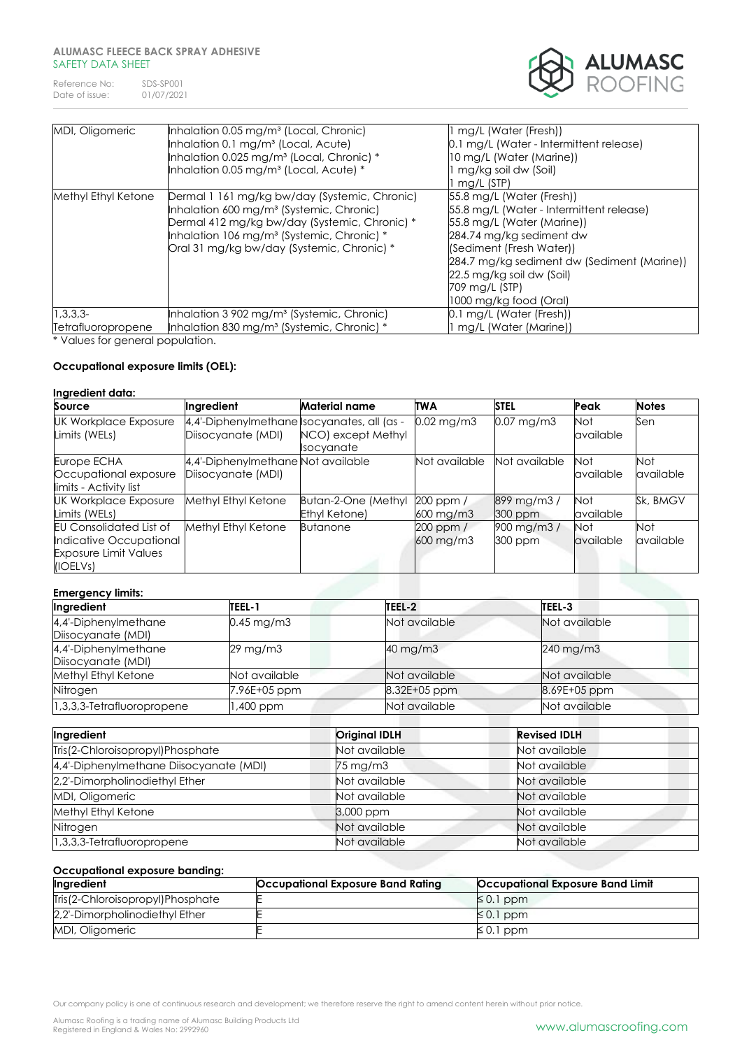Reference No: SDS-SP001<br>Date of issue: 01/07/2021 Date of issue:



| MDI, Oligomeric     | Inhalation 0.05 mg/m <sup>3</sup> (Local, Chronic)     | mg/L (Water (Fresh))                        |
|---------------------|--------------------------------------------------------|---------------------------------------------|
|                     | Inhalation 0.1 mg/m <sup>3</sup> (Local, Acute)        | 0.1 mg/L (Water - Intermittent release)     |
|                     | Inhalation 0.025 mg/m <sup>3</sup> (Local, Chronic) *  | 10 mg/L (Water (Marine))                    |
|                     | Inhalation 0.05 mg/m <sup>3</sup> (Local, Acute) *     | mg/kg soil dw (Soil)                        |
|                     |                                                        | $mg/L$ (STP)                                |
| Methyl Ethyl Ketone | Dermal 1 161 mg/kg bw/day (Systemic, Chronic)          | 55.8 mg/L (Water (Fresh))                   |
|                     | Inhalation 600 mg/m <sup>3</sup> (Systemic, Chronic)   | 55.8 mg/L (Water - Intermittent release)    |
|                     | Dermal 412 mg/kg bw/day (Systemic, Chronic) *          | 55.8 mg/L (Water (Marine))                  |
|                     | Inhalation 106 mg/m <sup>3</sup> (Systemic, Chronic) * | 284.74 mg/kg sediment dw                    |
|                     | Oral 31 mg/kg bw/day (Systemic, Chronic) *             | (Sediment (Fresh Water))                    |
|                     |                                                        | 284.7 mg/kg sediment dw (Sediment (Marine)) |
|                     |                                                        | 22.5 mg/kg soil dw (Soil)                   |
|                     |                                                        | 709 mg/L (STP)                              |
|                     |                                                        | 1000 mg/kg food (Oral)                      |
| $1,3,3,3-$          | Inhalation 3 902 mg/m <sup>3</sup> (Systemic, Chronic) | 0.1 mg/L (Water (Fresh))                    |
| Tetrafluoropropene  | Inhalation 830 mg/m <sup>3</sup> (Systemic, Chronic) * | mg/L (Water (Marine))                       |

\* Values for general population.

# **Occupational exposure limits (OEL):**

# **Ingredient data:**

| Source                                                                                                | Ingredient                                                       | <b>Material name</b>                    | <b>TWA</b>                 | <b>STEL</b>                      | Peak                    | <b>Notes</b>     |
|-------------------------------------------------------------------------------------------------------|------------------------------------------------------------------|-----------------------------------------|----------------------------|----------------------------------|-------------------------|------------------|
| <b>UK Workplace Exposure</b><br>Limits (WELs)                                                         | 4,4'-Diphenylmethane socyanates, all (as -<br>Diisocyanate (MDI) | NCO) except Methyl<br><b>Isocyanate</b> | $0.02 \,\mathrm{mg/m}$     | $0.07 \,\mathrm{mg/m3}$          | <b>Not</b><br>available | Sen              |
| Europe ECHA<br>Occupational exposure<br>limits - Activity list                                        | 4,4'-Diphenylmethane Not available<br>Diisocyanate (MDI)         |                                         | Not available              | Not available                    | Not<br>available        | Not<br>available |
| <b>UK Workplace Exposure</b><br>Limits (WELs)                                                         | Methyl Ethyl Ketone                                              | Butan-2-One (Methyl<br>Ethyl Ketone)    | $200$ ppm $/$<br>600 mg/m3 | 899 mg/m3/<br>300 ppm            | Not<br>available        | Sk, BMGV         |
| <b>EU Consolidated List of</b><br>Indicative Occupational<br><b>Exposure Limit Values</b><br>(IOELVs) | Methyl Ethyl Ketone                                              | <b>Butanone</b>                         | 200 ppm /<br>600 mg/m3     | $900 \,\mathrm{mg/m}$<br>300 ppm | Not<br><b>available</b> | Not<br>available |

# **Emergency limits:**

| Ingredient                                 | TEEL-1          | TEEL-2        | TEEL-3        |
|--------------------------------------------|-----------------|---------------|---------------|
| 4,4'-Diphenylmethane<br>Diisocyanate (MDI) | $0.45$ mg/m $3$ | Not available | Not available |
| 4,4'-Diphenylmethane<br>Diisocyanate (MDI) | 29 mg/m3        | 40 mg/m3      | 240 mg/m3     |
| Methyl Ethyl Ketone                        | Not available   | Not available | Not available |
| Nitrogen                                   | 7.96E+05 ppm    | 8.32E+05 ppm  | 8.69E+05 ppm  |
| 1,3,3,3-Tetrafluoropropene                 | ,400 ppm        | Not available | Not available |

| Ingredient                              | <b>Original IDLH</b> | <b>Revised IDLH</b> |
|-----------------------------------------|----------------------|---------------------|
| Tris(2-Chloroisopropyl)Phosphate        | Not available        | Not available       |
| 4,4'-Diphenylmethane Diisocyanate (MDI) | 75 mg/m3             | Not available       |
| 2,2'-Dimorpholinodiethyl Ether          | Not available        | Not available       |
| MDI, Oligomeric                         | Not available        | Not available       |
| Methyl Ethyl Ketone                     | 3,000 ppm            | Not available       |
| Nitrogen                                | Not available        | Not available       |
| 1,3,3,3-Tetrafluoropropene              | Not available        | Not available       |

### **Occupational exposure banding:**

| Ingredient                       | Occupational Exposure Band Rating | <b>Occupational Exposure Band Limit</b> |
|----------------------------------|-----------------------------------|-----------------------------------------|
| Tris(2-Chloroisopropyl)Phosphate |                                   | $\leq$ 0.1 ppm                          |
| 2,2'-Dimorpholinodiethyl Ether   |                                   | $\leq$ 0.1 ppm                          |
| MDI, Oligomeric                  |                                   | $\leq$ 0.1 ppm                          |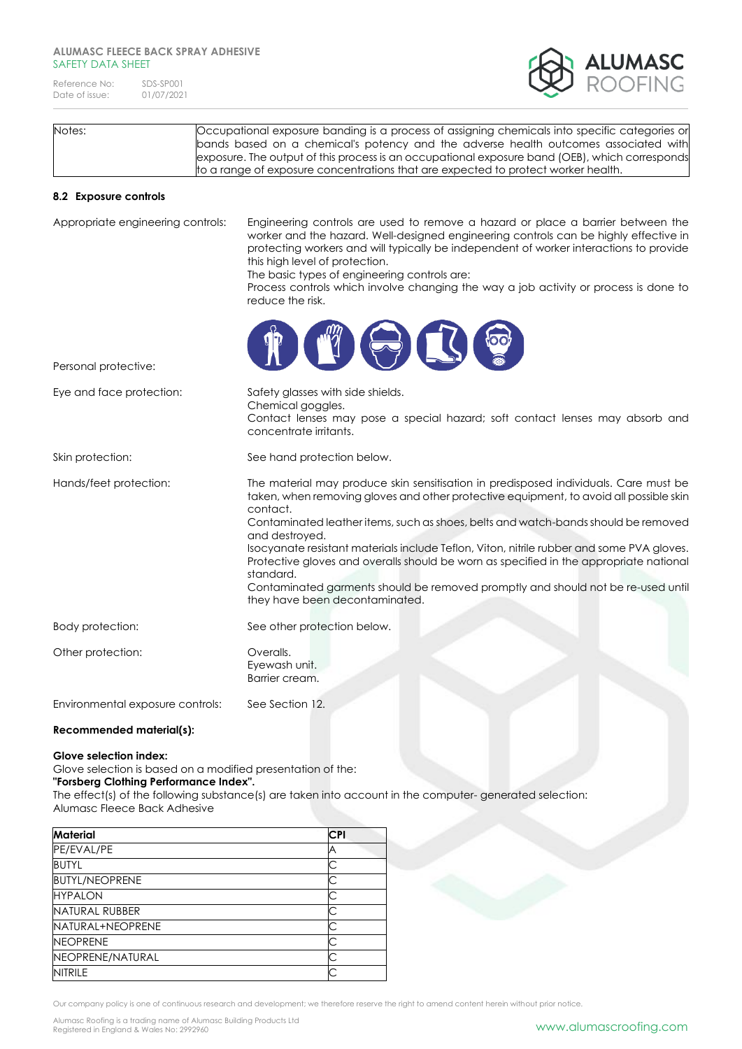Reference No: SDS-SP001<br>Date of issue: 01/07/2021 Date of issue:



Notes: Occupational exposure banding is a process of assigning chemicals into specific categories or bands based on a chemical's potency and the adverse health outcomes associated with exposure. The output of this process is an occupational exposure band (OEB), which corresponds to a range of exposure concentrations that are expected to protect worker health.

# **8.2 Exposure controls**

| Appropriate engineering controls: | Engineering controls are used to remove a hazard or place a barrier between the<br>worker and the hazard. Well-designed engineering controls can be highly effective in<br>protecting workers and will typically be independent of worker interactions to provide<br>this high level of protection.<br>The basic types of engineering controls are:<br>Process controls which involve changing the way a job activity or process is done to<br>reduce the risk.                                                                                                                                                              |
|-----------------------------------|------------------------------------------------------------------------------------------------------------------------------------------------------------------------------------------------------------------------------------------------------------------------------------------------------------------------------------------------------------------------------------------------------------------------------------------------------------------------------------------------------------------------------------------------------------------------------------------------------------------------------|
| Personal protective:              | $\mathbb{Z}$<br>IS IS                                                                                                                                                                                                                                                                                                                                                                                                                                                                                                                                                                                                        |
| Eye and face protection:          | Safety glasses with side shields.<br>Chemical goggles.<br>Contact lenses may pose a special hazard; soft contact lenses may absorb and<br>concentrate irritants.                                                                                                                                                                                                                                                                                                                                                                                                                                                             |
| Skin protection:                  | See hand protection below.                                                                                                                                                                                                                                                                                                                                                                                                                                                                                                                                                                                                   |
| Hands/feet protection:            | The material may produce skin sensitisation in predisposed individuals. Care must be<br>taken, when removing gloves and other protective equipment, to avoid all possible skin<br>contact.<br>Contaminated leather items, such as shoes, belts and watch-bands should be removed<br>and destroyed.<br>Isocyanate resistant materials include Teflon, Viton, nitrile rubber and some PVA gloves.<br>Protective gloves and overalls should be worn as specified in the appropriate national<br>standard.<br>Contaminated garments should be removed promptly and should not be re-used until<br>they have been decontaminated. |
| Body protection:                  | See other protection below.                                                                                                                                                                                                                                                                                                                                                                                                                                                                                                                                                                                                  |
| Other protection:                 | Overalls.<br>Eyewash unit.<br>Barrier cream.                                                                                                                                                                                                                                                                                                                                                                                                                                                                                                                                                                                 |
| Environmental exposure controls:  | See Section 12.                                                                                                                                                                                                                                                                                                                                                                                                                                                                                                                                                                                                              |

### **Recommended material(s):**

# **Glove selection index:**

Glove selection is based on a modified presentation of the:

# **"Forsberg Clothing Performance Index".**

The effect(s) of the following substance(s) are taken into account in the computer- generated selection: Alumasc Fleece Back Adhesive

| <b>Material</b>       | <b>CPI</b> |
|-----------------------|------------|
| PE/EVAL/PE            |            |
| <b>BUTYL</b>          |            |
| <b>BUTYL/NEOPRENE</b> |            |
| <b>HYPALON</b>        |            |
| <b>NATURAL RUBBER</b> |            |
| NATURAL+NEOPRENE      |            |
| <b>NEOPRENE</b>       |            |
| NEOPRENE/NATURAL      |            |
| <b>NITRILE</b>        |            |

Our company policy is one of continuous research and development; we therefore reserve the right to amend content herein without prior notice.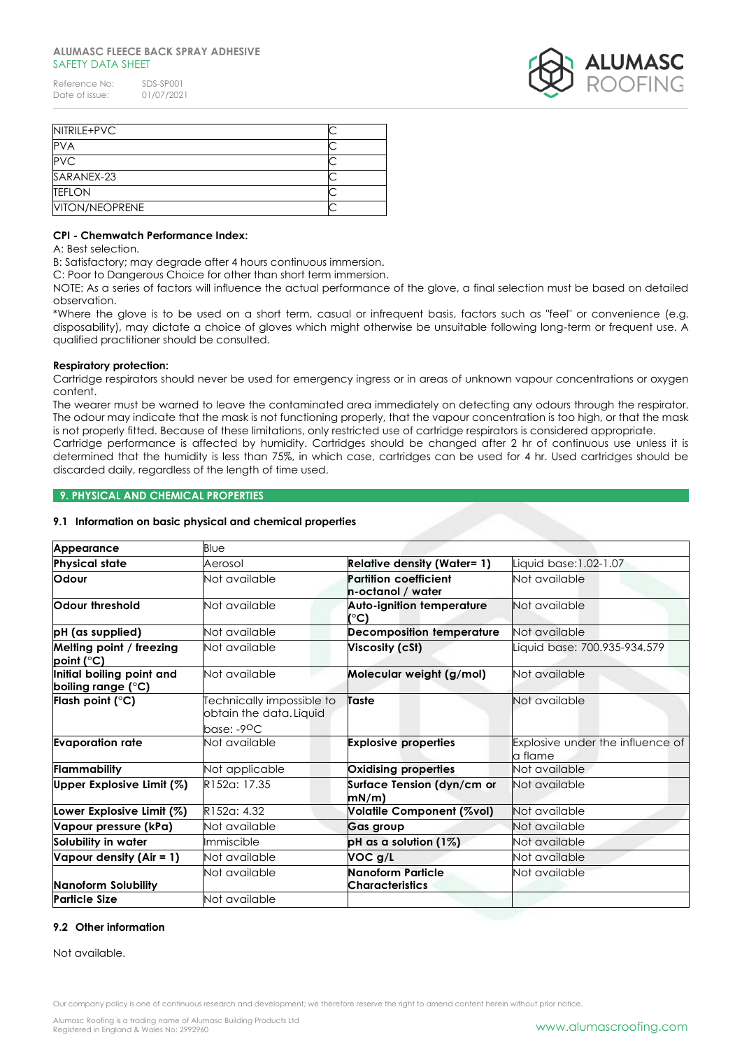Reference No: SDS-SP001<br>Date of issue: 01/07/2021 Date of issue:



| NITRILE+PVC           |  |
|-----------------------|--|
| PVA                   |  |
| <b>PVC</b>            |  |
| SARANEX-23            |  |
| <b>TEFLON</b>         |  |
| <b>VITON/NEOPRENE</b> |  |

# **CPI - Chemwatch Performance Index:**

A: Best selection.

B: Satisfactory; may degrade after 4 hours continuous immersion.

C: Poor to Dangerous Choice for other than short term immersion.

NOTE: As a series of factors will influence the actual performance of the glove, a final selection must be based on detailed observation.

\*Where the glove is to be used on a short term, casual or infrequent basis, factors such as "feel" or convenience (e.g. disposability), may dictate a choice of gloves which might otherwise be unsuitable following long-term or frequent use. A qualified practitioner should be consulted.

### **Respiratory protection:**

Cartridge respirators should never be used for emergency ingress or in areas of unknown vapour concentrations or oxygen content.

The wearer must be warned to leave the contaminated area immediately on detecting any odours through the respirator. The odour may indicate that the mask is not functioning properly, that the vapour concentration is too high, or that the mask is not properly fitted. Because of these limitations, only restricted use of cartridge respirators is considered appropriate.

Cartridge performance is affected by humidity. Cartridges should be changed after 2 hr of continuous use unless it is determined that the humidity is less than 75%, in which case, cartridges can be used for 4 hr. Used cartridges should be discarded daily, regardless of the length of time used.

### **9. PHYSICAL AND CHEMICAL PROPERTIES**

# **9.1 Information on basic physical and chemical properties**

| Appearance                                      | Blue                                                 |                                                   |                                              |
|-------------------------------------------------|------------------------------------------------------|---------------------------------------------------|----------------------------------------------|
| <b>Physical state</b>                           | Aerosol                                              | <b>Relative density (Water= 1)</b>                | Liquid base: 1.02-1.07                       |
| Odour                                           | Not available                                        | <b>Partition coefficient</b><br>n-octanol / water | Not available                                |
| Odour threshold                                 | Not available                                        | <b>Auto-ignition temperature</b><br>(°C)          | Not available                                |
| pH (as supplied)                                | Not available                                        | <b>Decomposition temperature</b>                  | Not available                                |
| Melting point / freezing<br>point (°C)          | Not available                                        | Viscosity (cSt)                                   | Liquid base: 700.935-934.579                 |
| Initial boiling point and<br>boiling range (°C) | Not available                                        | Molecular weight (g/mol)                          | Not available                                |
| Flash point ( $^{\circ}$ C)                     | Fechnically impossible to<br>obtain the data. Liquid | Taste                                             | Not available                                |
|                                                 | $base: -90C$                                         |                                                   |                                              |
| <b>Evaporation rate</b>                         | Not available                                        | <b>Explosive properties</b>                       | Explosive under the influence of<br>la flame |
| Flammability                                    | Not applicable                                       | Oxidising properties                              | Not available                                |
| Upper Explosive Limit (%)                       | R152a: 17.35                                         | Surface Tension (dyn/cm or<br>mN/m                | Not available                                |
| Lower Explosive Limit (%)                       | R152a: 4.32                                          | Volatile Component (%vol)                         | Not available                                |
| Vapour pressure (kPa)                           | Not available                                        | <b>Gas group</b>                                  | Not available                                |
| Solubility in water                             | Immiscible                                           | $pH$ as a solution (1%)                           | Not available                                |
| Vapour density (Air = 1)                        | Not available                                        | VOC g/L                                           | Not available                                |
| <b>Nanoform Solubility</b>                      | Not available                                        | Nanoform Particle<br>Characteristics              | Not available                                |
| <b>Particle Size</b>                            | Not available                                        |                                                   |                                              |

# **9.2 Other information**

Not available.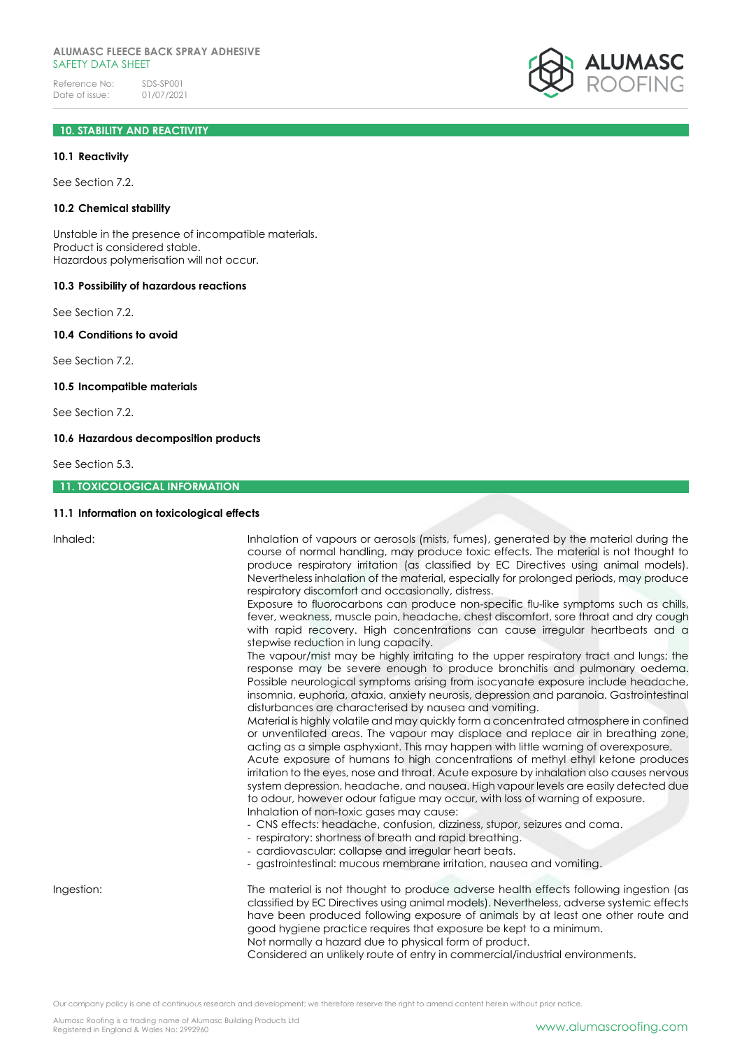# **10. STABILITY AND REACTIVITY**

# **10.1 Reactivity**

See Section 7.2.

# **10.2 Chemical stability**

Unstable in the presence of incompatible materials. Product is considered stable. Hazardous polymerisation will not occur.

#### **10.3 Possibility of hazardous reactions**

See Section 7.2.

# **10.4 Conditions to avoid**

See Section 7.2.

# **10.5 Incompatible materials**

See Section 7.2.

# **10.6 Hazardous decomposition products**

See Section 5.3.

# **11. TOXICOLOGICAL INFORMATION**

# **11.1 Information on toxicological effects**

| Inhaled:   | Inhalation of vapours or aerosols (mists, fumes), generated by the material during the<br>course of normal handling, may produce toxic effects. The material is not thought to<br>produce respiratory irritation (as classified by EC Directives using animal models).<br>Nevertheless inhalation of the material, especially for prolonged periods, may produce<br>respiratory discomfort and occasionally, distress.<br>Exposure to fluorocarbons can produce non-specific flu-like symptoms such as chills,<br>fever, weakness, muscle pain, headache, chest discomfort, sore throat and dry cough<br>with rapid recovery. High concentrations can cause irregular heartbeats and a<br>stepwise reduction in lung capacity.<br>The vapour/mist may be highly irritating to the upper respiratory tract and lungs; the<br>response may be severe enough to produce bronchitis and pulmonary oedema.<br>Possible neurological symptoms arising from isocyanate exposure include headache,<br>insomnia, euphoria, ataxia, anxiety neurosis, depression and paranoia. Gastrointestinal<br>disturbances are characterised by nausea and vomiting.<br>Material is highly volatile and may quickly form a concentrated atmosphere in confined<br>or unventilated areas. The vapour may displace and replace air in breathing zone,<br>acting as a simple asphyxiant. This may happen with little warning of overexposure.<br>Acute exposure of humans to high concentrations of methyl ethyl ketone produces<br>irritation to the eyes, nose and throat. Acute exposure by inhalation also causes nervous<br>system depression, headache, and nausea. High vapour levels are easily detected due<br>to odour, however odour fatigue may occur, with loss of warning of exposure.<br>Inhalation of non-toxic gases may cause:<br>- CNS effects: headache, confusion, dizziness, stupor, seizures and coma.<br>- respiratory: shortness of breath and rapid breathing.<br>- cardiovascular: collapse and irregular heart beats.<br>- gastrointestinal: mucous membrane irritation, nausea and vomiting. |
|------------|---------------------------------------------------------------------------------------------------------------------------------------------------------------------------------------------------------------------------------------------------------------------------------------------------------------------------------------------------------------------------------------------------------------------------------------------------------------------------------------------------------------------------------------------------------------------------------------------------------------------------------------------------------------------------------------------------------------------------------------------------------------------------------------------------------------------------------------------------------------------------------------------------------------------------------------------------------------------------------------------------------------------------------------------------------------------------------------------------------------------------------------------------------------------------------------------------------------------------------------------------------------------------------------------------------------------------------------------------------------------------------------------------------------------------------------------------------------------------------------------------------------------------------------------------------------------------------------------------------------------------------------------------------------------------------------------------------------------------------------------------------------------------------------------------------------------------------------------------------------------------------------------------------------------------------------------------------------------------------------------------------------------------------------------------------------------------------------------------|
| Ingestion: | The material is not thought to produce adverse health effects following ingestion (as<br>classified by EC Directives using animal models). Nevertheless, adverse systemic effects<br>have been produced following exposure of animals by at least one other route and<br>good hygiene practice requires that exposure be kept to a minimum.<br>Not normally a hazard due to physical form of product.<br>Considered an unlikely route of entry in commercial/industrial environments.                                                                                                                                                                                                                                                                                                                                                                                                                                                                                                                                                                                                                                                                                                                                                                                                                                                                                                                                                                                                                                                                                                                                                                                                                                                                                                                                                                                                                                                                                                                                                                                                             |
|            |                                                                                                                                                                                                                                                                                                                                                                                                                                                                                                                                                                                                                                                                                                                                                                                                                                                                                                                                                                                                                                                                                                                                                                                                                                                                                                                                                                                                                                                                                                                                                                                                                                                                                                                                                                                                                                                                                                                                                                                                                                                                                                   |



Our company policy is one of continuous research and development; we therefore reserve the right to amend content herein without prior notice.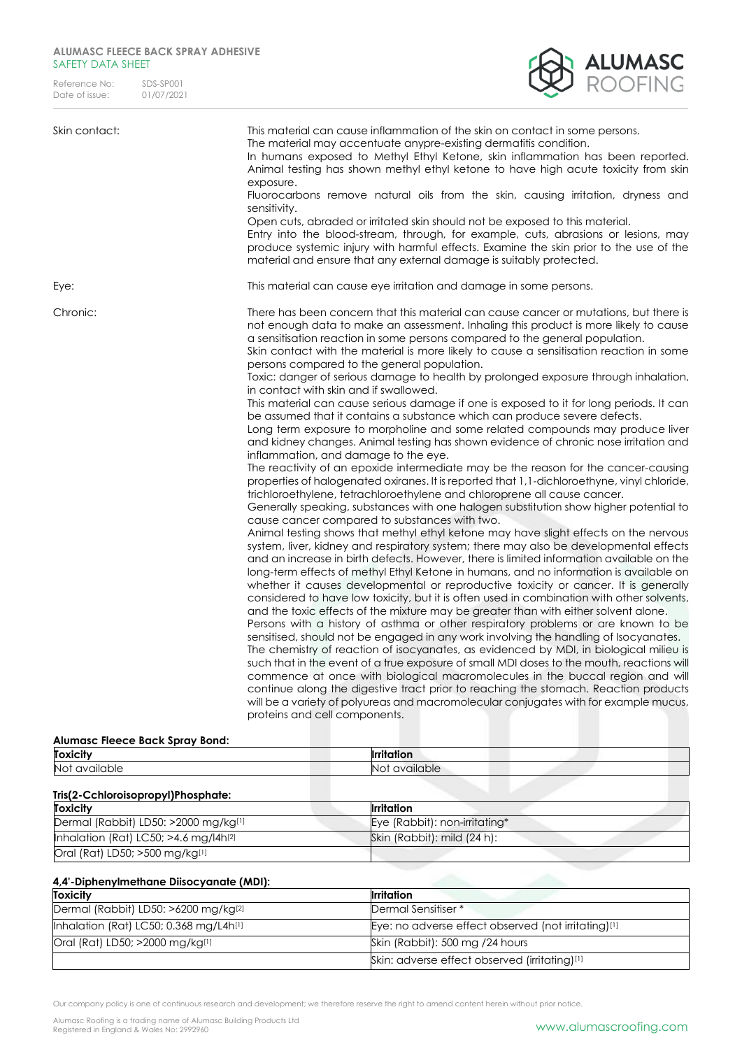Reference No: SDS-SP001<br>Date of issue: 01/07/2021 Date of issue:



| Skin contact: | This material can cause inflammation of the skin on contact in some persons.<br>The material may accentuate anypre-existing dermatitis condition.<br>In humans exposed to Methyl Ethyl Ketone, skin inflammation has been reported.<br>Animal testing has shown methyl ethyl ketone to have high acute toxicity from skin<br>exposure.<br>Fluorocarbons remove natural oils from the skin, causing irritation, dryness and<br>sensitivity.<br>Open cuts, abraded or irritated skin should not be exposed to this material.<br>Entry into the blood-stream, through, for example, cuts, abrasions or lesions, may<br>produce systemic injury with harmful effects. Examine the skin prior to the use of the<br>material and ensure that any external damage is suitably protected.                                                                                                                                                                                                                                                                                                                                                                                                                                                                                                                                                                                                                                                                                                                                                                                                                                                                                                                                                                                                                                                                                                                                                                                                                                                                                                                                                                                                                                                                                                                                                                                                                                                                                                                                                                                                                                                                                    |
|---------------|----------------------------------------------------------------------------------------------------------------------------------------------------------------------------------------------------------------------------------------------------------------------------------------------------------------------------------------------------------------------------------------------------------------------------------------------------------------------------------------------------------------------------------------------------------------------------------------------------------------------------------------------------------------------------------------------------------------------------------------------------------------------------------------------------------------------------------------------------------------------------------------------------------------------------------------------------------------------------------------------------------------------------------------------------------------------------------------------------------------------------------------------------------------------------------------------------------------------------------------------------------------------------------------------------------------------------------------------------------------------------------------------------------------------------------------------------------------------------------------------------------------------------------------------------------------------------------------------------------------------------------------------------------------------------------------------------------------------------------------------------------------------------------------------------------------------------------------------------------------------------------------------------------------------------------------------------------------------------------------------------------------------------------------------------------------------------------------------------------------------------------------------------------------------------------------------------------------------------------------------------------------------------------------------------------------------------------------------------------------------------------------------------------------------------------------------------------------------------------------------------------------------------------------------------------------------------------------------------------------------------------------------------------------------|
| Eye:          | This material can cause eye irritation and damage in some persons.                                                                                                                                                                                                                                                                                                                                                                                                                                                                                                                                                                                                                                                                                                                                                                                                                                                                                                                                                                                                                                                                                                                                                                                                                                                                                                                                                                                                                                                                                                                                                                                                                                                                                                                                                                                                                                                                                                                                                                                                                                                                                                                                                                                                                                                                                                                                                                                                                                                                                                                                                                                                   |
| Chronic:      | There has been concern that this material can cause cancer or mutations, but there is<br>not enough data to make an assessment. Inhaling this product is more likely to cause<br>a sensitisation reaction in some persons compared to the general population.<br>Skin contact with the material is more likely to cause a sensitisation reaction in some<br>persons compared to the general population.<br>Toxic: danger of serious damage to health by prolonged exposure through inhalation,<br>in contact with skin and if swallowed.<br>This material can cause serious damage if one is exposed to it for long periods. It can<br>be assumed that it contains a substance which can produce severe defects.<br>Long term exposure to morpholine and some related compounds may produce liver<br>and kidney changes. Animal testing has shown evidence of chronic nose irritation and<br>inflammation, and damage to the eye.<br>The reactivity of an epoxide intermediate may be the reason for the cancer-causing<br>properties of halogenated oxiranes. It is reported that 1, 1-dichloroethyne, vinyl chloride,<br>trichloroethylene, tetrachloroethylene and chloroprene all cause cancer.<br>Generally speaking, substances with one halogen substitution show higher potential to<br>cause cancer compared to substances with two.<br>Animal testing shows that methyl ethyl ketone may have slight effects on the nervous<br>system, liver, kidney and respiratory system; there may also be developmental effects<br>and an increase in birth defects. However, there is limited information available on the<br>long-term effects of methyl Ethyl Ketone in humans, and no information is available on<br>whether it causes developmental or reproductive toxicity or cancer. It is generally<br>considered to have low toxicity, but it is often used in combination with other solvents,<br>and the toxic effects of the mixture may be greater than with either solvent alone.<br>Persons with a history of asthma or other respiratory problems or are known to be<br>sensitised, should not be engaged in any work involving the handling of Isocyanates.<br>The chemistry of reaction of isocyanates, as evidenced by MDI, in biological milieu is<br>such that in the event of a true exposure of small MDI doses to the mouth, reactions will<br>commence at once with biological macromolecules in the buccal region and will<br>continue along the digestive tract prior to reaching the stomach. Reaction products<br>will be a variety of polyureas and macromolecular conjugates with for example mucus,<br>proteins and cell components. |

| <b>Alumasc Fleece Back Spray Bond:</b>      |                               |
|---------------------------------------------|-------------------------------|
| <b>Toxicity</b>                             | <b>Irritation</b>             |
| Not available                               | Not available                 |
| Tris(2-Cchloroisopropyl)Phosphate:          |                               |
| <b>Toxicity</b>                             | <b>Irritation</b>             |
| Dermal (Rabbit) LD50: >2000 mg/kg[1]        | Eye (Rabbit): non-irritating* |
| Inhalation (Rat) LC50; >4.6 mg/l4h $^{[2]}$ | Skin (Rabbit): mild (24 h):   |
| Oral (Rat) LD50; >500 mg/kg[1]              |                               |
|                                             |                               |

### **4,4'-Diphenylmethane Diisocyanate (MDI):**

| <b>Toxicity</b>                        | <b>Irritation</b>                                   |
|----------------------------------------|-----------------------------------------------------|
| Dermal (Rabbit) LD50: >6200 mg/kg[2]   | Dermal Sensitiser *                                 |
| Inhalation (Rat) LC50; 0.368 mg/L4h[1] | Eye: no adverse effect observed (not irritating)[1] |
| Oral (Rat) LD50; >2000 mg/kg[1]        | Skin (Rabbit): 500 mg /24 hours                     |
|                                        | Skin: adverse effect observed (irritating)[1]       |

Our company policy is one of continuous research and development; we therefore reserve the right to amend content herein without prior notice.

Alumasc Roofing is a trading name of Alumasc Building Products Ltd<br>Registered in England & Wales No: 2992960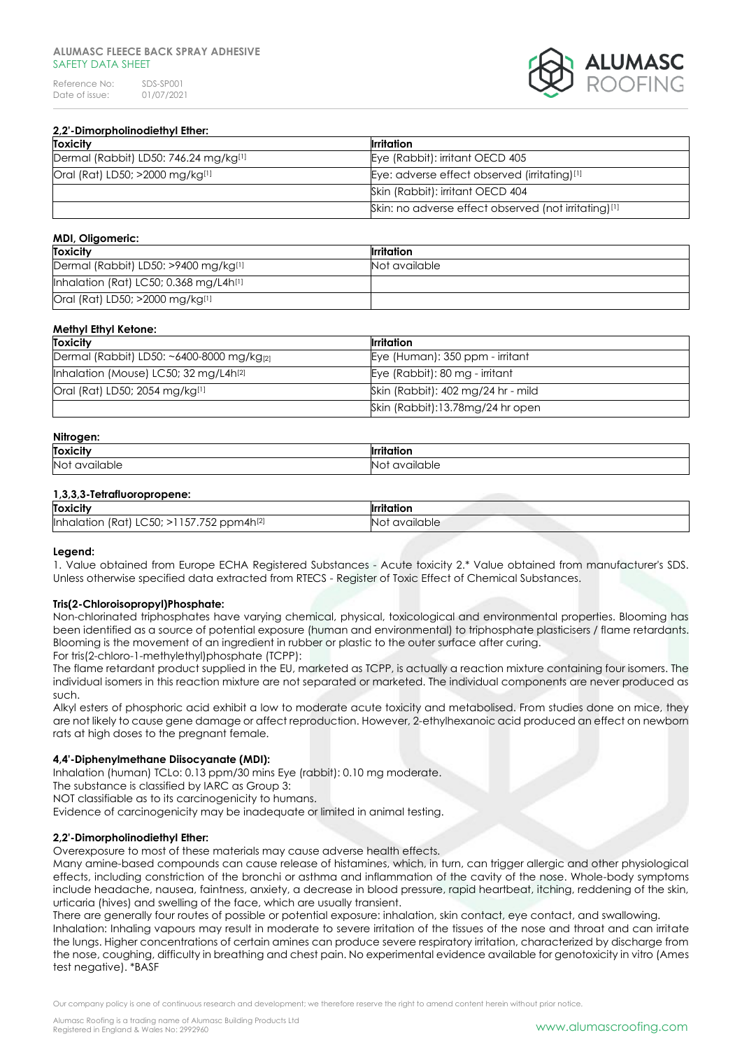Reference No: SDS-SP001<br>Date of issue: 01/07/2021 Date of issue:



### **2,2'-Dimorpholinodiethyl Ether:**

| <b>Toxicity</b>                       | <b>Irritation</b>                                    |
|---------------------------------------|------------------------------------------------------|
| Dermal (Rabbit) LD50: 746.24 mg/kg[1] | Eye (Rabbit): irritant OECD 405                      |
| Oral (Rat) LD50; >2000 mg/kg[1]       | Eye: adverse effect observed (irritating)[1]         |
|                                       | Skin (Rabbit): irritant OECD 404                     |
|                                       | Skin: no adverse effect observed (not irritating)[1] |

# **MDI, Oligomeric:**

**Methyl Ethyl Ketone:**

| <b>Toxicity</b>                           | <b>I</b> rritation |
|-------------------------------------------|--------------------|
| Dermal (Rabbit) LD50: >9400 mg/kg[1]      | Not available      |
| Inhalation (Rat) LC50; 0.368 mg/L4h $[1]$ |                    |
| Oral (Rat) LD50; >2000 mg/kg[1]           |                    |

| <b><i>INGINYL EINVENGIONS.</i></b>                    |                                    |  |
|-------------------------------------------------------|------------------------------------|--|
| <b>Toxicity</b>                                       | <b>Irritation</b>                  |  |
| Dermal (Rabbit) LD50: ~6400-8000 mg/kg <sub>[2]</sub> | Eye (Human): 350 ppm - irritant    |  |
| Inhalation (Mouse) LC50; 32 mg/L4h <sup>[2]</sup>     | Eye (Rabbit): 80 mg - irritant     |  |
| Oral (Rat) LD50; 2054 mg/kg[1]                        | Skin (Rabbit): 402 mg/24 hr - mild |  |
|                                                       | Skin (Rabbit):13.78mg/24 hr open   |  |

| Nitrogen:       |                                             |  |
|-----------------|---------------------------------------------|--|
| <b>Toxicity</b> | $\cdot$<br>tatior                           |  |
| Not available   | <i>vailable</i><br>$\overline{\mathcal{M}}$ |  |

#### **1,3,3,3-Tetrafluoropropene:**

| <b>Toxicity</b>                 | rritation |
|---------------------------------|-----------|
| Rat) LC50; >1157.752 ppm4h[2] ١ | available |
| <b>I</b> nhalation              | <b>NO</b> |

### **Legend:**

1. Value obtained from Europe ECHA Registered Substances - Acute toxicity 2.\* Value obtained from manufacturer's SDS. Unless otherwise specified data extracted from RTECS - Register of Toxic Effect of Chemical Substances.

### **Tris(2-Chloroisopropyl)Phosphate:**

Non-chlorinated triphosphates have varying chemical, physical, toxicological and environmental properties. Blooming has been identified as a source of potential exposure (human and environmental) to triphosphate plasticisers / flame retardants. Blooming is the movement of an ingredient in rubber or plastic to the outer surface after curing.

For tris(2-chloro-1-methylethyl)phosphate (TCPP):

The flame retardant product supplied in the EU, marketed as TCPP, is actually a reaction mixture containing four isomers. The individual isomers in this reaction mixture are not separated or marketed. The individual components are never produced as such.

Alkyl esters of phosphoric acid exhibit a low to moderate acute toxicity and metabolised. From studies done on mice, they are not likely to cause gene damage or affect reproduction. However, 2-ethylhexanoic acid produced an effect on newborn rats at high doses to the pregnant female.

### **4,4'-Diphenylmethane Diisocyanate (MDI):**

Inhalation (human) TCLo: 0.13 ppm/30 mins Eye (rabbit): 0.10 mg moderate.

The substance is classified by IARC as Group 3:

NOT classifiable as to its carcinogenicity to humans.

Evidence of carcinogenicity may be inadequate or limited in animal testing.

### **2,2'-Dimorpholinodiethyl Ether:**

Overexposure to most of these materials may cause adverse health effects.

Many amine-based compounds can cause release of histamines, which, in turn, can trigger allergic and other physiological effects, including constriction of the bronchi or asthma and inflammation of the cavity of the nose. Whole-body symptoms include headache, nausea, faintness, anxiety, a decrease in blood pressure, rapid heartbeat, itching, reddening of the skin, urticaria (hives) and swelling of the face, which are usually transient.

There are generally four routes of possible or potential exposure: inhalation, skin contact, eye contact, and swallowing. Inhalation: Inhaling vapours may result in moderate to severe irritation of the tissues of the nose and throat and can irritate the lungs. Higher concentrations of certain amines can produce severe respiratory irritation, characterized by discharge from the nose, coughing, difficulty in breathing and chest pain. No experimental evidence available for genotoxicity in vitro (Ames test negative). \*BASF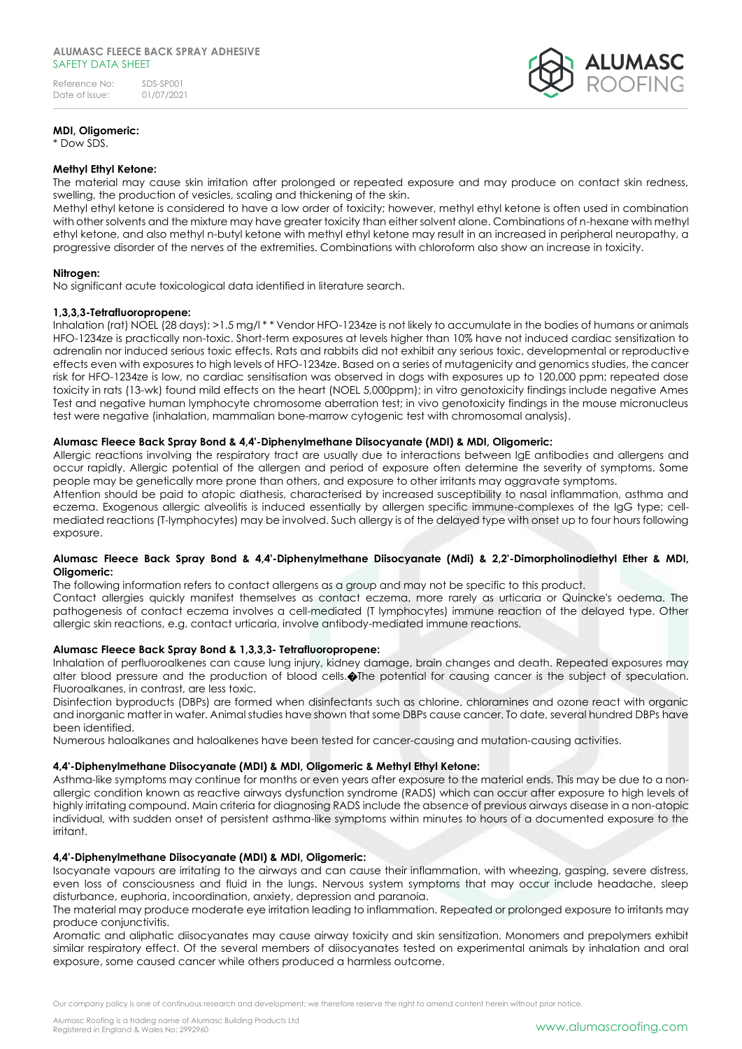

# **MDI, Oligomeric:**

\* Dow SDS.

### **Methyl Ethyl Ketone:**

The material may cause skin irritation after prolonged or repeated exposure and may produce on contact skin redness, swelling, the production of vesicles, scaling and thickening of the skin.

Methyl ethyl ketone is considered to have a low order of toxicity; however, methyl ethyl ketone is often used in combination with other solvents and the mixture may have greater toxicity than either solvent alone. Combinations of n-hexane with methyl ethyl ketone, and also methyl n-butyl ketone with methyl ethyl ketone may result in an increased in peripheral neuropathy, a progressive disorder of the nerves of the extremities. Combinations with chloroform also show an increase in toxicity.

### **Nitrogen:**

No significant acute toxicological data identified in literature search.

### **1,3,3,3-Tetrafluoropropene:**

Inhalation (rat) NOEL (28 days): >1.5 ma/l \* \* Vendor HFO-1234ze is not likely to accumulate in the bodies of humans or animals HFO-1234ze is practically non-toxic. Short-term exposures at levels higher than 10% have not induced cardiac sensitization to adrenalin nor induced serious toxic effects. Rats and rabbits did not exhibit any serious toxic, developmental or reproductive effects even with exposures to high levels of HFO-1234ze. Based on a series of mutagenicity and genomics studies, the cancer risk for HFO-1234ze is low, no cardiac sensitisation was observed in dogs with exposures up to 120,000 ppm; repeated dose toxicity in rats (13-wk) found mild effects on the heart (NOEL 5,000ppm); in vitro genotoxicity findings include negative Ames Test and negative human lymphocyte chromosome aberration test; in vivo genotoxicity findings in the mouse micronucleus test were negative (inhalation, mammalian bone-marrow cytogenic test with chromosomal analysis).

# **Alumasc Fleece Back Spray Bond & 4,4'-Diphenylmethane Diisocyanate (MDI) & MDI, Oligomeric:**

Allergic reactions involving the respiratory tract are usually due to interactions between IgE antibodies and allergens and occur rapidly. Allergic potential of the allergen and period of exposure often determine the severity of symptoms. Some people may be genetically more prone than others, and exposure to other irritants may aggravate symptoms.

Attention should be paid to atopic diathesis, characterised by increased susceptibility to nasal inflammation, asthma and eczema. Exogenous allergic alveolitis is induced essentially by allergen specific immune-complexes of the IgG type; cellmediated reactions (T-lymphocytes) may be involved. Such allergy is of the delayed type with onset up to four hours following exposure.

### **Alumasc Fleece Back Spray Bond & 4,4'-Diphenylmethane Diisocyanate (Mdi) & 2,2'-Dimorpholinodiethyl Ether & MDI, Oligomeric:**

The following information refers to contact allergens as a group and may not be specific to this product.

Contact allergies quickly manifest themselves as contact eczema, more rarely as urticaria or Quincke's oedema. The pathogenesis of contact eczema involves a cell-mediated (T lymphocytes) immune reaction of the delayed type. Other allergic skin reactions, e.g. contact urticaria, involve antibody-mediated immune reactions.

### **Alumasc Fleece Back Spray Bond & 1,3,3,3- Tetrafluoropropene:**

Inhalation of perfluoroalkenes can cause lung injury, kidney damage, brain changes and death. Repeated exposures may alter blood pressure and the production of blood cells. $\bigcirc$ The potential for causing cancer is the subject of speculation. Fluoroalkanes, in contrast, are less toxic.

Disinfection byproducts (DBPs) are formed when disinfectants such as chlorine, chloramines and ozone react with organic and inorganic matter in water. Animal studies have shown that some DBPs cause cancer. To date, several hundred DBPs have been identified.

Numerous haloalkanes and haloalkenes have been tested for cancer-causing and mutation-causing activities.

### **4,4'-Diphenylmethane Diisocyanate (MDI) & MDI, Oligomeric & Methyl Ethyl Ketone:**

Asthma-like symptoms may continue for months or even years after exposure to the material ends. This may be due to a nonallergic condition known as reactive airways dysfunction syndrome (RADS) which can occur after exposure to high levels of highly irritating compound. Main criteria for diagnosing RADS include the absence of previous airways disease in a non-atopic individual, with sudden onset of persistent asthma-like symptoms within minutes to hours of a documented exposure to the irritant.

### **4,4'-Diphenylmethane Diisocyanate (MDI) & MDI, Oligomeric:**

Isocyanate vapours are irritating to the airways and can cause their inflammation, with wheezing, gasping, severe distress, even loss of consciousness and fluid in the lungs. Nervous system symptoms that may occur include headache, sleep disturbance, euphoria, incoordination, anxiety, depression and paranoia.

The material may produce moderate eye irritation leading to inflammation. Repeated or prolonged exposure to irritants may produce conjunctivitis.

Aromatic and aliphatic diisocyanates may cause airway toxicity and skin sensitization. Monomers and prepolymers exhibit similar respiratory effect. Of the several members of diisocyanates tested on experimental animals by inhalation and oral exposure, some caused cancer while others produced a harmless outcome.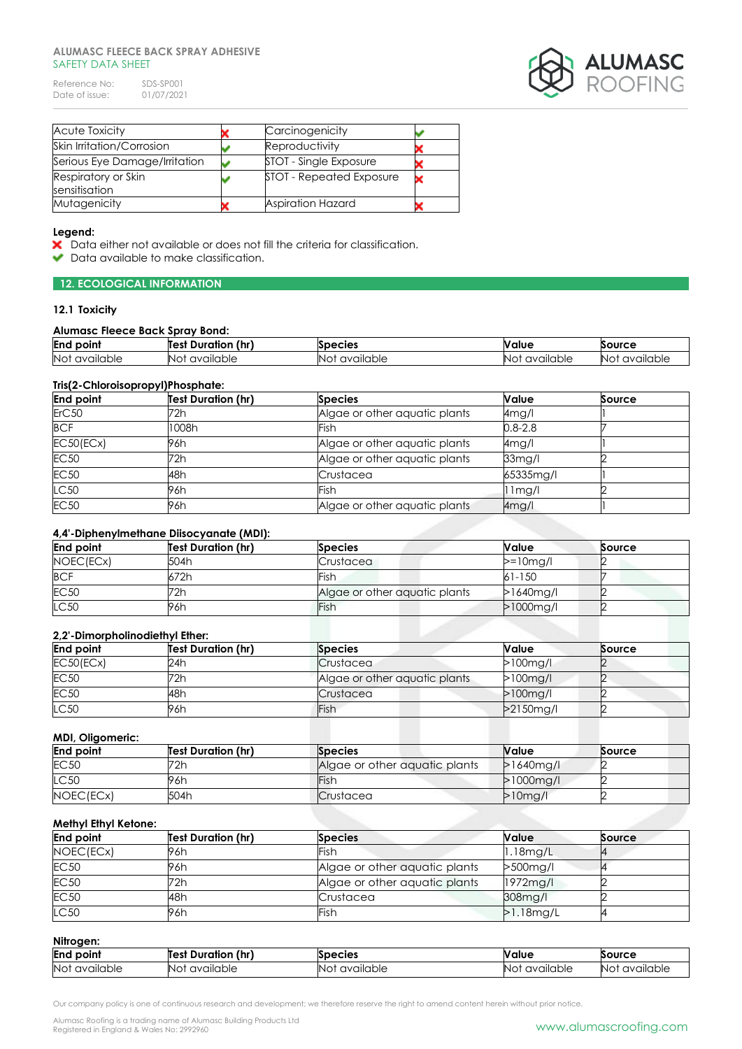Reference No: SDS-SP001<br>Date of issue: 01/07/2021 Date of issue:



| <b>Acute Toxicity</b>                | Carcinogenicity          |  |
|--------------------------------------|--------------------------|--|
| Skin Irritation/Corrosion            | Reproductivity           |  |
| Serious Eye Damage/Irritation        | STOT - Single Exposure   |  |
| Respiratory or Skin<br>sensitisation | STOT - Repeated Exposure |  |
| Mutagenicity                         | <b>Aspiration Hazard</b> |  |

# **Legend:**

- X Data either not available or does not fill the criteria for classification.
- Data available to make classification.

# **12. ECOLOGICAL INFORMATION**

# **12.1 Toxicity**

### **Alumasc Fleece Back Spray Bond:**

| End<br>point | (nr)<br>Test<br>Duration | <b>Species</b> | <b>Nalue</b> | Source    |
|--------------|--------------------------|----------------|--------------|-----------|
| Not          | available                | available      | available    | No:       |
| available    | NO).                     | IΝC            | NO.          | available |

### **Tris(2-Chloroisopropyl)Phosphate:**

| <b>End point</b>  | <b>Test Duration (hr)</b> | <b>Species</b>                | <b>Value</b>       | Source |
|-------------------|---------------------------|-------------------------------|--------------------|--------|
| ErC <sub>50</sub> | 72h                       | Algae or other aquatic plants | 4mg/l              |        |
| <b>BCF</b>        | 1008h                     | Fish                          | $0.8 - 2.8$        |        |
| EC50(ECx)         | 96h                       | Algae or other aquatic plants | 4 <sub>mg</sub> /l |        |
| <b>EC50</b>       | 72h                       | Algae or other aquatic plants | $33$ mg/l          |        |
| <b>EC50</b>       | 48h                       | Crustacea                     | 65335mg/l          |        |
| LC50              | 96h                       | Fish                          | l 1mg/l            |        |
| <b>EC50</b>       | 96h                       | Algae or other aquatic plants | 4mg/l              |        |

# **4,4'-Diphenylmethane Diisocyanate (MDI):**

| <b>End point</b> | <b>Test Duration (hr)</b> | <b>Species</b>                | Value        | Source |
|------------------|---------------------------|-------------------------------|--------------|--------|
| NOEC(ECx)        | 504h                      | Crustacea                     | $>=10$ mg/l  |        |
| <b>BCF</b>       | 672h                      | Fish                          | $61 - 150$   |        |
| <b>EC50</b>      | 72h                       | Algae or other aquatic plants | $>1640$ mg/l |        |
| <b>LC50</b>      | 96h                       | Fish                          | $>1000$ mg/l |        |

### **2,2'-Dimorpholinodiethyl Ether:**

| <b>End point</b> | <b>Test Duration (hr)</b> | <b>Species</b>                | Value        | Source |
|------------------|---------------------------|-------------------------------|--------------|--------|
| EC50(ECx)        | 24h                       | Crustacea                     | $>100$ mg/l  |        |
| <b>EC50</b>      | 72h                       | Algae or other aquatic plants | $>100$ mg/l  |        |
| <b>EC50</b>      | 48h                       | Crustacea                     | $>100$ mg/l  |        |
| LC50             | 96h                       | Fish                          | $>2150$ mg/l |        |

### **MDI, Oligomeric:**

| <b>End point</b> | <b>Test Duration (hr)</b> | <b>Species</b>                | <b>Nalue</b> | <b>Source</b> |
|------------------|---------------------------|-------------------------------|--------------|---------------|
| <b>EC50</b>      | 72h                       | Algae or other aguatic plants | $>1640$ mg/l |               |
| LC50             | 96h                       | Fish                          | $>1000$ mg/l |               |
| NOEC(ECx)        | 504h                      | Crustacea                     | $>10$ mg/l   |               |

# **Methyl Ethyl Ketone:**

| <b>End point</b> | <b>Test Duration (hr)</b> | <b>Species</b>                | Value        | Source |
|------------------|---------------------------|-------------------------------|--------------|--------|
| NOEC(ECx)        | 96h                       | Fish                          | $1.18$ mg/L  |        |
| <b>EC50</b>      | 96h                       | Algae or other aquatic plants | >500mg/l     |        |
| <b>EC50</b>      | 72h                       | Algae or other aquatic plants | $1972$ mg/l  |        |
| <b>EC50</b>      | 48h                       | Crustacea                     | $308$ mg/l   |        |
| LC50             | 96h                       | Fish                          | $>1.18$ mg/L |        |

# **Nitrogen:**

| End<br>point | (hr)<br><br>Test<br>Duration | ipecies         | <b>Nalue</b> | Source     |
|--------------|------------------------------|-----------------|--------------|------------|
| <b>Not</b>   | available                    | available       | available    | <b>Not</b> |
| available    | NO <sub>L</sub>              | NO <sub>L</sub> | -ING         | available  |

Our company policy is one of continuous research and development; we therefore reserve the right to amend content herein without prior notice.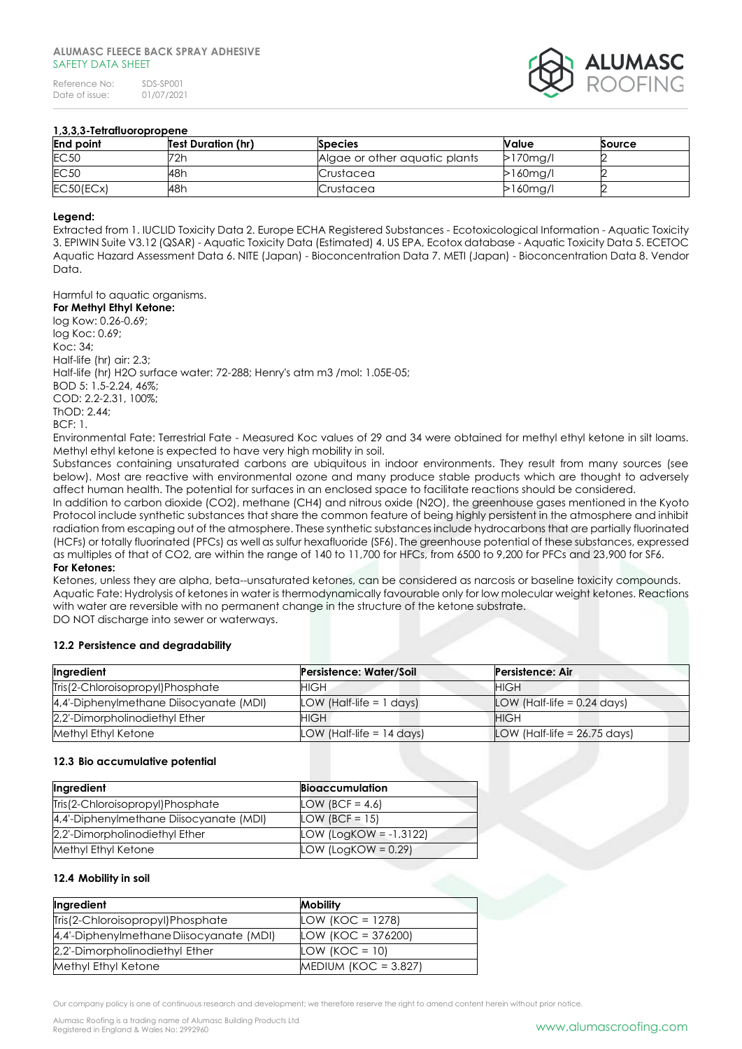

# **1,3,3,3-Tetrafluoropropene**

| <b>End point</b> | <b>Test Duration (hr)</b> | <b>Species</b>                | <b>Value</b> | Source |
|------------------|---------------------------|-------------------------------|--------------|--------|
| <b>EC50</b>      | 72h                       | Algae or other aquatic plants | $>170$ mg/l  |        |
| <b>EC50</b>      | 48h                       | Crustacea                     | $>160$ mg/l  |        |
| EC50(ECx)        | 48h                       | Crustacea                     | $>160$ mg/l  |        |

#### **Legend:**

Extracted from 1. IUCLID Toxicity Data 2. Europe ECHA Registered Substances - Ecotoxicological Information - Aquatic Toxicity 3. EPIWIN Suite V3.12 (QSAR) - Aquatic Toxicity Data (Estimated) 4. US EPA, Ecotox database - Aquatic Toxicity Data 5. ECETOC Aquatic Hazard Assessment Data 6. NITE (Japan) - Bioconcentration Data 7. METI (Japan) - Bioconcentration Data 8. Vendor Data.

Harmful to aquatic organisms. **For Methyl Ethyl Ketone:** log Kow: 0.26-0.69; log Koc: 0.69; Koc: 34; Half-life (hr) air: 2.3; Half-life (hr) H2O surface water: 72-288; Henry's atm m3 /mol: 1.05E-05; BOD 5: 1.5-2.24, 46%; COD: 2.2-2.31, 100%; ThOD: 2.44; BCF: 1.

Environmental Fate: Terrestrial Fate - Measured Koc values of 29 and 34 were obtained for methyl ethyl ketone in silt loams. Methyl ethyl ketone is expected to have very high mobility in soil.

Substances containing unsaturated carbons are ubiquitous in indoor environments. They result from many sources (see below). Most are reactive with environmental ozone and many produce stable products which are thought to adversely affect human health. The potential for surfaces in an enclosed space to facilitate reactions should be considered.

In addition to carbon dioxide (CO2), methane (CH4) and nitrous oxide (N2O), the greenhouse gases mentioned in the Kyoto Protocol include synthetic substances that share the common feature of being highly persistent in the atmosphere and inhibit radiation from escaping out of the atmosphere. These synthetic substances include hydrocarbons that are partially fluorinated (HCFs) or totally fluorinated (PFCs) as well as sulfur hexafluoride (SF6). The greenhouse potential of these substances, expressed as multiples of that of CO2, are within the range of 140 to 11,700 for HFCs, from 6500 to 9,200 for PFCs and 23,900 for SF6. **For Ketones:** 

Ketones, unless they are alpha, beta--unsaturated ketones, can be considered as narcosis or baseline toxicity compounds. Aquatic Fate: Hydrolysis of ketones in water is thermodynamically favourable only for low molecular weight ketones. Reactions with water are reversible with no permanent change in the structure of the ketone substrate. DO NOT discharge into sewer or waterways.

### **12.2 Persistence and degradability**

| Ingredient                              | <b>Persistence: Water/Soil</b> | Persistence: Air               |
|-----------------------------------------|--------------------------------|--------------------------------|
| Tris(2-Chloroisopropyl)Phosphate        | <b>HIGH</b>                    | <b>HIGH</b>                    |
| 4,4'-Diphenylmethane Diisocyanate (MDI) | LOW (Half-life $= 1$ days)     | LOW (Half-life $= 0.24$ days)  |
| 2,2'-Dimorpholinodiethyl Ether          | HIGH.                          | <b>HIGH</b>                    |
| Methyl Ethyl Ketone                     | LOW (Half-life $= 14$ days)    | LOW (Half-life $= 26.75$ days) |

### **12.3 Bio accumulative potential**

| Ingredient                              | <b>Bioaccumulation</b>    |
|-----------------------------------------|---------------------------|
| Tris(2-Chloroisopropyl)Phosphate        | LOW (BCF = 4.6)           |
| 4,4'-Diphenylmethane Diisocyanate (MDI) | LOW (BCF = $15$ )         |
| 2,2'-Dimorpholinodiethyl Ether          | LOW (LogKOW = $-1.3122$ ) |
| Methyl Ethyl Ketone                     | LOW (LogKOW = $0.29$ )    |

### **12.4 Mobility in soil**

| Ingredient                              | <b>Mobility</b>          |
|-----------------------------------------|--------------------------|
| Tris(2-Chloroisopropyl)Phosphate        | LOW (KOC = $1278$ )      |
| 4,4'-Diphenylmethane Diisocyanate (MDI) | LOW (KOC = 376200)       |
| 2,2'-Dimorpholinodiethyl Ether          | LOW $(KOC = 10)$         |
| Methyl Ethyl Ketone                     | MEDIUM ( $KOC = 3.827$ ) |

Our company policy is one of continuous research and development; we therefore reserve the right to amend content herein without prior notice.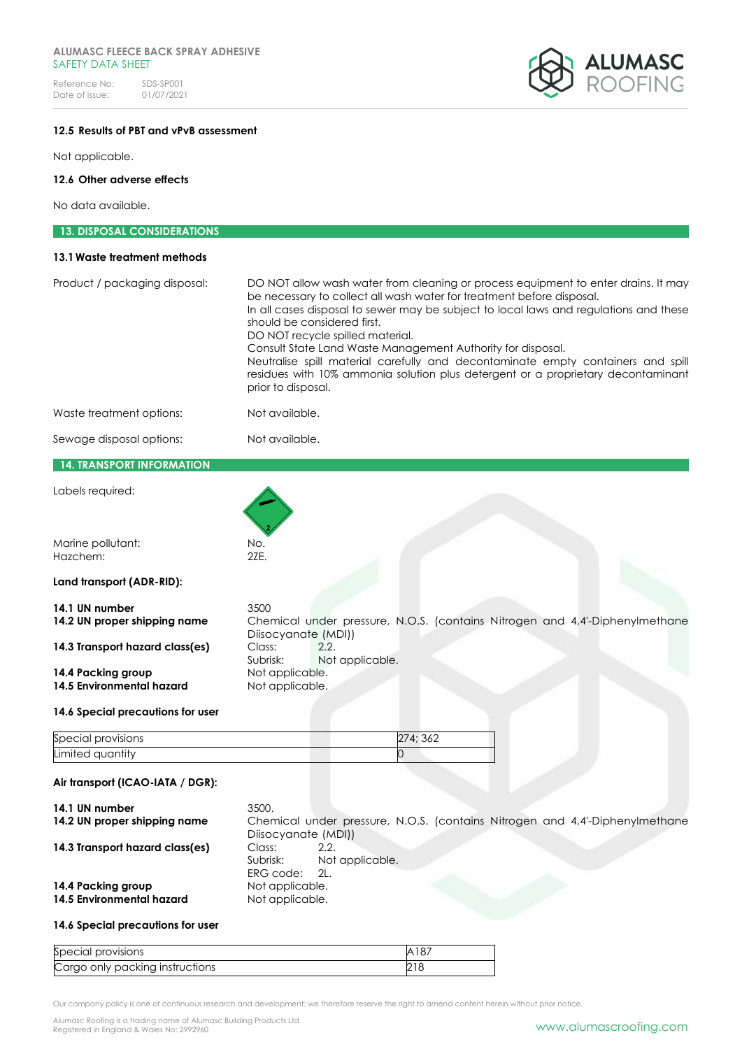

# **12.5 Results of PBT and vPvB assessment**

Not applicable.

# **12.6 Other adverse effects**

No data available.

| <b>13. DISPOSAL CONSIDERATIONS</b> |                                                                                                                                                                                                                                                                                                                                                                                                                                                                                                                                                                                      |
|------------------------------------|--------------------------------------------------------------------------------------------------------------------------------------------------------------------------------------------------------------------------------------------------------------------------------------------------------------------------------------------------------------------------------------------------------------------------------------------------------------------------------------------------------------------------------------------------------------------------------------|
| 13.1 Waste treatment methods       |                                                                                                                                                                                                                                                                                                                                                                                                                                                                                                                                                                                      |
| Product / packaging disposal:      | DO NOT allow wash water from cleaning or process equipment to enter drains. It may<br>be necessary to collect all wash water for treatment before disposal.<br>In all cases disposal to sewer may be subject to local laws and regulations and these<br>should be considered first.<br>DO NOT recycle spilled material.<br>Consult State Land Waste Management Authority for disposal.<br>Neutralise spill material carefully and decontaminate empty containers and spill<br>residues with 10% ammonia solution plus detergent or a proprietary decontaminant<br>prior to disposal. |
| Waste treatment options:           | Not available.                                                                                                                                                                                                                                                                                                                                                                                                                                                                                                                                                                       |
| Sewage disposal options:           | Not available.                                                                                                                                                                                                                                                                                                                                                                                                                                                                                                                                                                       |
| <b>14. TRANSPORT INFORMATION</b>   |                                                                                                                                                                                                                                                                                                                                                                                                                                                                                                                                                                                      |
| Labels required:                   |                                                                                                                                                                                                                                                                                                                                                                                                                                                                                                                                                                                      |

Marine pollutant: No. Hazchem: 2ZE.

**Land transport (ADR-RID):**

| 14.1 UN number                  | 3500                |                                                                            |
|---------------------------------|---------------------|----------------------------------------------------------------------------|
| 14.2 UN proper shipping name    |                     | Chemical under pressure, N.O.S. (contains Nitrogen and 4,4-Diphenylmethane |
|                                 | Diisocyanate (MDI)) |                                                                            |
| 14.3 Transport hazard class(es) | Class:              | 2.2.                                                                       |
|                                 | Subrisk:            | Not applicable.                                                            |
| 14.4 Packing group              | Not applicable.     |                                                                            |
| 14.5 Environmental hazard       | Not applicable.     |                                                                            |
|                                 |                     |                                                                            |

# **14.6 Special precautions for user**

| Special provisions | 274: 362 |
|--------------------|----------|
| Limited quantity   |          |

# **Air transport (ICAO-IATA / DGR):**

| 14.1 UN number<br>14.2 UN proper shipping name  | 3500.<br>Chemical under pressure, N.O.S. (contains Nitrogen and 4,4-Diphenylmethane<br>Diisocyanate (MDI)) |
|-------------------------------------------------|------------------------------------------------------------------------------------------------------------|
| 14.3 Transport hazard class(es)                 | 2.2.<br>Class:<br>Subrisk:<br>Not applicable.<br>ERG code: 2L.                                             |
| 14.4 Packing group<br>14.5 Environmental hazard | Not applicable.<br>Not applicable.                                                                         |

# **14.6 Special precautions for user**

| Special provisions              |  |
|---------------------------------|--|
| Cargo only packing instructions |  |

Our company policy is one of continuous research and development; we therefore reserve the right to amend content herein without prior notice.

Alumasc Roofing is a trading name of Alumasc Building Products Ltd<br>Registered in England & Wales No: 2992960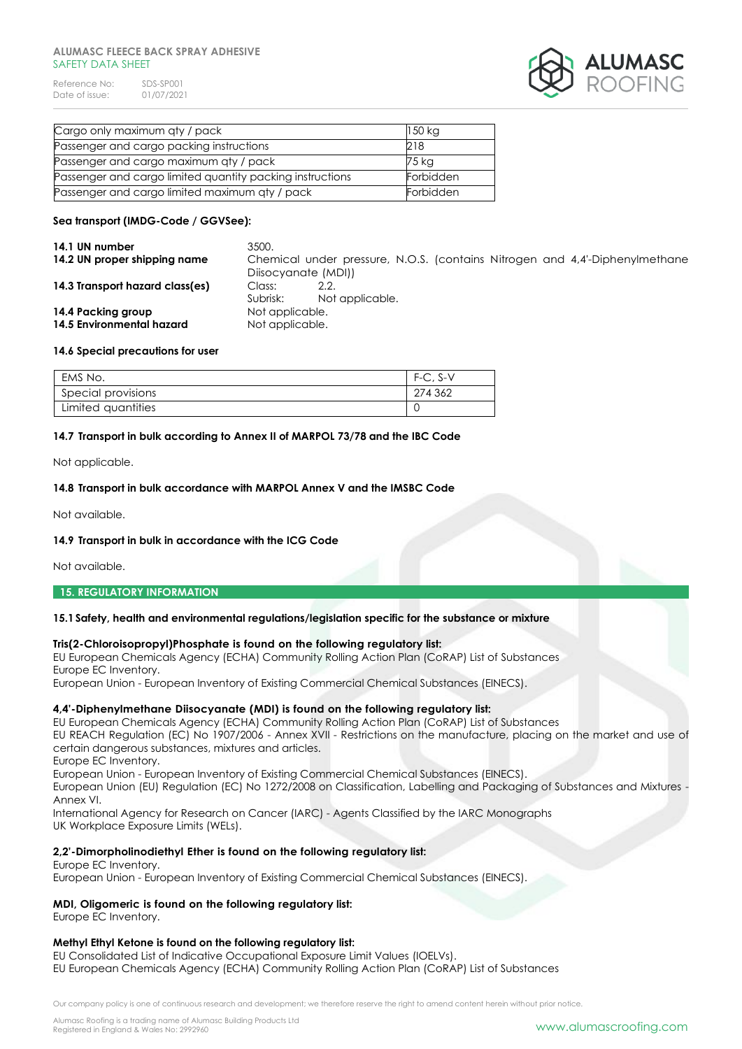Reference No: SDS-SP001<br>Date of issue: 01/07/2021 Date of issue:



| Cargo only maximum qty / pack                             | 150 kg    |
|-----------------------------------------------------------|-----------|
| Passenger and cargo packing instructions                  | 218       |
| Passenger and cargo maximum aty / pack                    | 75 kg     |
| Passenger and cargo limited quantity packing instructions | Forbidden |
| Passenger and cargo limited maximum aty / pack            | Forbidden |

### **Sea transport (IMDG-Code / GGVSee):**

| 14.1 UN number<br>14.2 UN proper shipping name  | 3500.<br>Diisocyanate (MDI))       | Chemical under pressure, N.O.S. (contains Nitrogen and 4,4-Diphenylmethane |
|-------------------------------------------------|------------------------------------|----------------------------------------------------------------------------|
| 14.3 Transport hazard class(es)                 | Class:<br>Subrisk:                 | 2.2.<br>Not applicable.                                                    |
| 14.4 Packing group<br>14.5 Environmental hazard | Not applicable.<br>Not applicable. |                                                                            |

### **14.6 Special precautions for user**

| EMS No.            | $F-C, S-V$ |
|--------------------|------------|
| Special provisions | 274 362    |
| Limited quantities |            |

# **14.7 Transport in bulk according to Annex II of MARPOL 73/78 and the IBC Code**

Not applicable.

### **14.8 Transport in bulk accordance with MARPOL Annex V and the IMSBC Code**

Not available.

# **14.9 Transport in bulk in accordance with the ICG Code**

Not available.

### **15. REGULATORY INFORMATION**

### **15.1Safety, health and environmental regulations/legislation specific for the substance or mixture**

# **Tris(2-Chloroisopropyl)Phosphate is found on the following regulatory list:**

EU European Chemicals Agency (ECHA) Community Rolling Action Plan (CoRAP) List of Substances Europe EC Inventory.

European Union - European Inventory of Existing Commercial Chemical Substances (EINECS).

# **4,4'-Diphenylmethane Diisocyanate (MDI) is found on the following regulatory list:**

EU European Chemicals Agency (ECHA) Community Rolling Action Plan (CoRAP) List of Substances EU REACH Regulation (EC) No 1907/2006 - Annex XVII - Restrictions on the manufacture, placing on the market and use of certain dangerous substances, mixtures and articles.

Europe EC Inventory.

European Union - European Inventory of Existing Commercial Chemical Substances (EINECS).

European Union (EU) Regulation (EC) No 1272/2008 on Classification, Labelling and Packaging of Substances and Mixtures - Annex VI.

International Agency for Research on Cancer (IARC) - Agents Classified by the IARC Monographs UK Workplace Exposure Limits (WELs).

# **2,2'-Dimorpholinodiethyl Ether is found on the following regulatory list:**

Europe EC Inventory.

European Union - European Inventory of Existing Commercial Chemical Substances (EINECS).

# **MDI, Oligomeric is found on the following regulatory list:**

Europe EC Inventory.

### **Methyl Ethyl Ketone is found on the following regulatory list:**

EU Consolidated List of Indicative Occupational Exposure Limit Values (IOELVs).

EU European Chemicals Agency (ECHA) Community Rolling Action Plan (CoRAP) List of Substances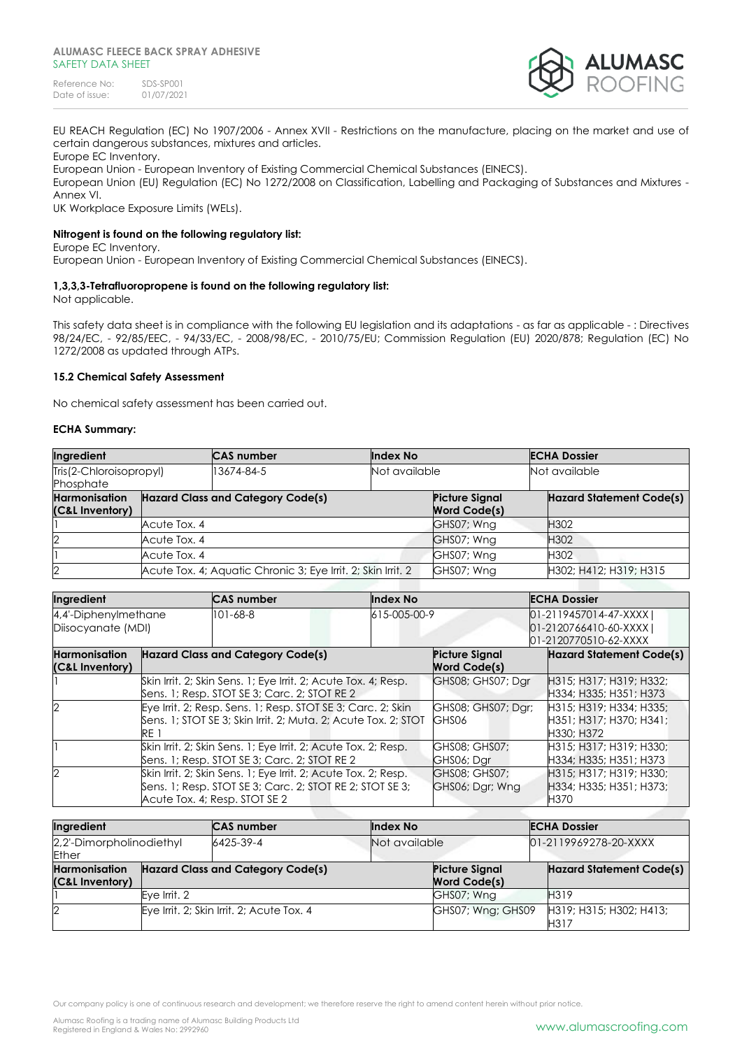

EU REACH Regulation (EC) No 1907/2006 - Annex XVII - Restrictions on the manufacture, placing on the market and use of certain dangerous substances, mixtures and articles.

Europe EC Inventory.

European Union - European Inventory of Existing Commercial Chemical Substances (EINECS).

European Union (EU) Regulation (EC) No 1272/2008 on Classification, Labelling and Packaging of Substances and Mixtures - Annex VI.

UK Workplace Exposure Limits (WELs).

# **Nitrogent is found on the following regulatory list:**

Europe EC Inventory.

European Union - European Inventory of Existing Commercial Chemical Substances (EINECS).

### **1,3,3,3-Tetrafluoropropene is found on the following regulatory list:**

Not applicable.

This safety data sheet is in compliance with the following EU legislation and its adaptations - as far as applicable - : Directives 98/24/EC, - 92/85/EEC, - 94/33/EC, - 2008/98/EC, - 2010/75/EU; Commission Regulation (EU) 2020/878; Regulation (EC) No 1272/2008 as updated through ATPs.

### **15.2 Chemical Safety Assessment**

No chemical safety assessment has been carried out.

### **ECHA Summary:**

| Ingredient              |                                                              | <b>CAS number</b> | Index No      |                       | <b>ECHA Dossier</b>             |  |
|-------------------------|--------------------------------------------------------------|-------------------|---------------|-----------------------|---------------------------------|--|
| Tris(2-Chloroisopropyl) |                                                              | 13674-84-5        | Not available |                       | Not available                   |  |
| Phosphate               |                                                              |                   |               |                       |                                 |  |
| <b>Harmonisation</b>    | <b>Hazard Class and Category Code(s)</b>                     |                   |               | <b>Picture Signal</b> | <b>Hazard Statement Code(s)</b> |  |
| (C&L Inventory)         |                                                              |                   |               | <b>Word Code(s)</b>   |                                 |  |
|                         | Acute Tox, 4                                                 |                   |               | GHS07; Wng            | H <sub>302</sub>                |  |
| 2                       | Acute Tox, 4                                                 |                   |               | GHS07; Wng            | H302                            |  |
|                         | Acute Tox, 4                                                 |                   |               | GHS07; Wng            | H302                            |  |
| 2                       | Acute Tox. 4; Aquatic Chronic 3; Eye Irrit. 2; Skin Irrit. 2 |                   |               | GHS07; Wng            | H302; H412; H319; H315          |  |

| Ingredient           |      | <b>CAS number</b>                                              | Index No     |                       | <b>ECHA Dossier</b>             |
|----------------------|------|----------------------------------------------------------------|--------------|-----------------------|---------------------------------|
| 4,4'-Diphenylmethane |      | $101 - 68 - 8$                                                 | 615-005-00-9 |                       | $01 - 2119457014 - 47-XXXX$     |
| Diisocyanate (MDI)   |      |                                                                |              |                       | 01-2120766410-60-XXXXI          |
|                      |      |                                                                |              |                       | 01-2120770510-62-XXXX           |
| <b>Harmonisation</b> |      | <b>Hazard Class and Category Code(s)</b>                       |              | <b>Picture Signal</b> | <b>Hazard Statement Code(s)</b> |
| (C&L Inventory)      |      |                                                                |              | <b>Word Code(s)</b>   |                                 |
|                      |      | Skin Irrit. 2; Skin Sens. 1; Eye Irrit. 2; Acute Tox. 4; Resp. |              | GHS08; GHS07; Dar     | H315; H317; H319; H332;         |
|                      |      | Sens. 1; Resp. STOT SE 3; Carc. 2; STOT RE 2                   |              |                       | H334: H335: H351: H373          |
|                      |      | Eye Irrit. 2; Resp. Sens. 1; Resp. STOT SE 3; Carc. 2; Skin    |              | GHS08; GHS07; Dar;    | H315: H319: H334: H335:         |
|                      |      | Sens. 1; STOT SE 3; Skin Irrit. 2; Muta. 2; Acute Tox. 2; STOT |              | GHS06                 | H351: H317: H370: H341:         |
|                      | RE 1 |                                                                |              |                       | H330: H372                      |
|                      |      | Skin Irrit. 2; Skin Sens. 1; Eye Irrit. 2; Acute Tox. 2; Resp. |              | GHS08; GHS07;         | H315; H317; H319; H330;         |
|                      |      | Sens. 1; Resp. STOT SE 3; Carc. 2; STOT RE 2                   |              | GHS06; Dar            | H334; H335; H351; H373          |
|                      |      | Skin Irrit. 2; Skin Sens. 1; Eye Irrit. 2; Acute Tox. 2; Resp. |              | GHS08: GHS07:         | H315: H317: H319: H330:         |
|                      |      | \$ens. 1; Resp. STOT SE 3; Carc. 2; STOT RE 2; STOT SE 3;      |              | GHS06; Dar; Wng       | H334: H335: H351: H373:         |
|                      |      | Acute Tox. 4; Resp. STOT SE 2                                  |              |                       | <b>H370</b>                     |

| <b>CAS number</b><br>Ingredient                |              | <b>Index No</b>                           |  | <b>ECHA Dossier</b>                          |                                 |
|------------------------------------------------|--------------|-------------------------------------------|--|----------------------------------------------|---------------------------------|
| 2,2'-Dimorpholinodiethyl<br>6425-39-4<br>Ether |              | Not available                             |  | 01-2119969278-20-XXXX                        |                                 |
| <b>Harmonisation</b><br>(C&L Inventory)        |              | <b>Hazard Class and Category Code(s)</b>  |  | <b>Picture Signal</b><br><b>Word Code(s)</b> | <b>Hazard Statement Code(s)</b> |
|                                                | Eve Irrit, 2 |                                           |  | GHS07; Wng                                   | H319                            |
|                                                |              | Eye Irrit. 2; Skin Irrit. 2; Acute Tox. 4 |  | GHS07; Wng; GHS09                            | H319; H315; H302; H413;<br>H317 |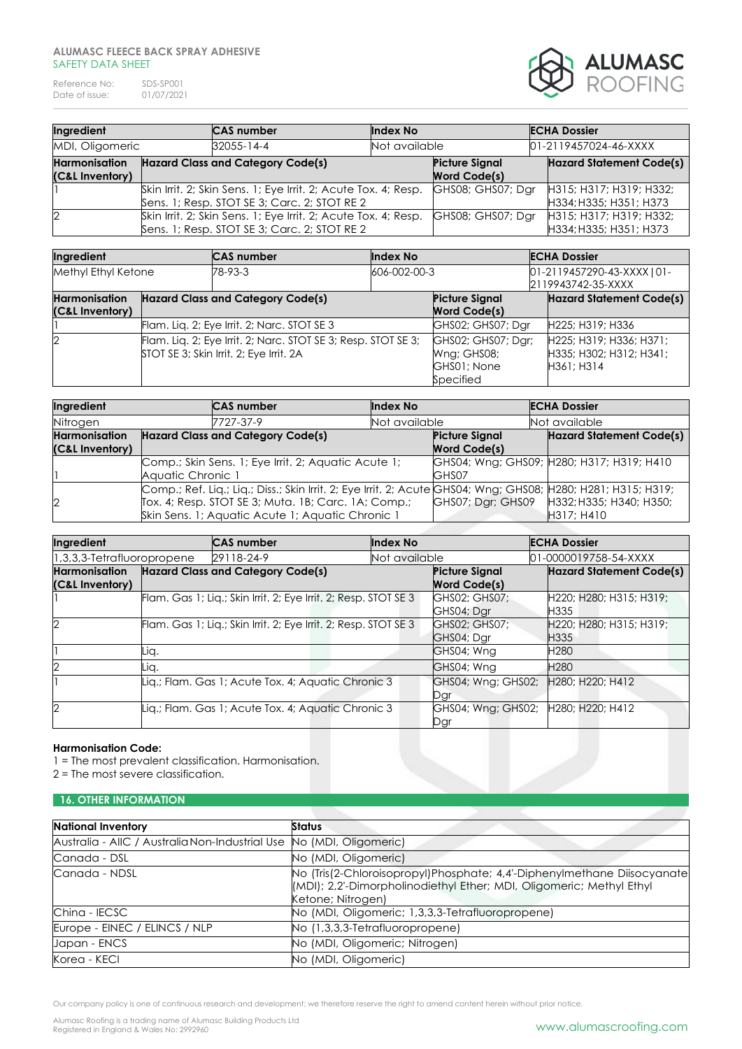Reference No: SDS-SP001<br>Date of issue: 01/07/2021 Date of issue:



| Ingredient                              |                                                                                                                | <b>CAS number</b> | Index No      |                                              |  | <b>ECHA Dossier</b>                               |  |
|-----------------------------------------|----------------------------------------------------------------------------------------------------------------|-------------------|---------------|----------------------------------------------|--|---------------------------------------------------|--|
| MDI, Oligomeric                         |                                                                                                                | 32055-14-4        | Not available |                                              |  | 01-2119457024-46-XXXX                             |  |
| <b>Harmonisation</b><br>(C&L Inventory) | <b>Hazard Class and Category Code(s)</b>                                                                       |                   |               | <b>Picture Signal</b><br><b>Word Code(s)</b> |  | <b>Hazard Statement Code(s)</b>                   |  |
|                                         | Skin Irrit. 2; Skin Sens. 1; Eye Irrit. 2; Acute Tox. 4; Resp.<br>Sens. 1; Resp. STOT SE 3; Carc. 2; STOT RE 2 |                   |               | GHS08; GHS07; Dar                            |  | H315; H317; H319; H332;<br>H334; H335; H351; H373 |  |
| 2                                       | Skin Irrit. 2; Skin Sens. 1; Eye Irrit. 2; Acute Tox. 4; Resp.<br>Sens. 1; Resp. STOT SE 3; Carc. 2; STOT RE 2 |                   |               | GHS08; GHS07; Dar                            |  | H315; H317; H319; H332;<br>H334; H335; H351; H373 |  |

| Ingredient           |                                                               | <b>CAS number</b>                           | Index No     |                       | <b>ECHA Dossier</b>                               |  |
|----------------------|---------------------------------------------------------------|---------------------------------------------|--------------|-----------------------|---------------------------------------------------|--|
| Methyl Ethyl Ketone  |                                                               | 78-93-3                                     | 606-002-00-3 |                       | 01-2119457290-43-XXXX   01-<br>2119943742-35-XXXX |  |
| <b>Harmonisation</b> |                                                               | <b>Hazard Class and Category Code(s)</b>    |              | <b>Picture Signal</b> | <b>Hazard Statement Code(s)</b>                   |  |
| (C&L Inventory)      |                                                               |                                             |              |                       |                                                   |  |
|                      |                                                               | Flam. Liq. 2; Eye Irrit. 2; Narc. STOT SE 3 |              | GHS02; GHS07; Dgr     | H225; H319; H336                                  |  |
|                      | Flam. Liq. 2; Eye Irrit. 2; Narc. STOT SE 3; Resp. STOT SE 3; |                                             |              | GHS02; GHS07; Dgr;    | H225; H319; H336; H371;                           |  |
|                      |                                                               | STOT SE 3; Skin Irrit, 2; Eye Irrit, 2A     |              | Wng; GHS08;           | H335; H302; H312; H341;                           |  |
|                      |                                                               |                                             |              | GHS01; None           | H361: H314                                        |  |
|                      |                                                               |                                             |              | Specified             |                                                   |  |

| Ingredient           |                   | <b>CAS number</b>                                                                                            | Index No      |                       | <b>ECHA Dossier</b>                       |
|----------------------|-------------------|--------------------------------------------------------------------------------------------------------------|---------------|-----------------------|-------------------------------------------|
| Nitrogen             |                   | 7727-37-9                                                                                                    | Not available |                       | Not available                             |
| <b>Harmonisation</b> |                   | <b>Hazard Class and Category Code(s)</b>                                                                     |               | <b>Picture Signal</b> | <b>Hazard Statement Code(s)</b>           |
| (C&L Inventory)      |                   |                                                                                                              |               | <b>Word Code(s)</b>   |                                           |
|                      |                   | Comp.; Skin Sens. 1; Eye Irrit. 2; Aquatic Acute 1;                                                          |               |                       | GHS04; Wng; GHS09; H280; H317; H319; H410 |
|                      | Aquatic Chronic 1 |                                                                                                              | GHS07         |                       |                                           |
|                      |                   | Comp.; Ref. Liq.; Liq.; Diss.; Skin Irrit. 2; Eye Irrit. 2; Acute GHS04; Wng; GHS08; H280; H281; H315; H319; |               |                       |                                           |
| 2                    |                   | Tox. 4; Resp. STOT SE 3; Muta. 1B; Carc. 1A; Comp.;                                                          |               | GHS07; Dgr; GHS09     | H332; H335; H340; H350;                   |
|                      |                   | Skin Sens. 1; Aquatic Acute 1; Aquatic Chronic 1                                                             |               |                       | H317; H410                                |

| Ingredient                 |      | <b>CAS number</b>                                               | Index No      |                       | <b>ECHA Dossier</b>             |
|----------------------------|------|-----------------------------------------------------------------|---------------|-----------------------|---------------------------------|
| 1,3,3,3-Tetrafluoropropene |      | 29118-24-9                                                      | Not available |                       | 01-0000019758-54-XXXX           |
| <b>Harmonisation</b>       |      | <b>Hazard Class and Category Code(s)</b>                        |               | <b>Picture Signal</b> | <b>Hazard Statement Code(s)</b> |
| (C&L Inventory)            |      |                                                                 |               | <b>Word Code(s)</b>   |                                 |
|                            |      | Flam. Gas 1; Liq.; Skin Irrit. 2; Eye Irrit. 2; Resp. STOT SE 3 |               | GHS02; GHS07;         | H220; H280; H315; H319;         |
|                            |      |                                                                 |               | GHS04; Dar            | H335                            |
| ク                          |      | Flam. Gas 1; Liq.; Skin Irrit. 2; Eye Irrit. 2; Resp. STOT SE 3 |               | GHS02; GHS07;         | H220; H280; H315; H319;         |
|                            |      |                                                                 |               | GHS04; Dgr            | H <sub>335</sub>                |
|                            | Liq. |                                                                 |               | GHS04; Wng            | H <sub>280</sub>                |
|                            | Liq. |                                                                 |               | GHS04; Wng            | H <sub>280</sub>                |
|                            |      | Liq.; Flam. Gas 1; Acute Tox. 4; Aquatic Chronic 3              |               | GHS04; Wng; GHS02;    | H280; H220; H412                |
|                            |      |                                                                 |               | Dgr                   |                                 |
| ク                          |      | Liq.; Flam. Gas 1; Acute Tox. 4; Aquatic Chronic 3              |               | GHS04; Wng; GHS02;    | H280; H220; H412                |
|                            |      |                                                                 |               | Dgr                   |                                 |

### **Harmonisation Code:**

1 = The most prevalent classification. Harmonisation.

2 = The most severe classification.

### **16. OTHER INFORMATION**

| <b>National Inventory</b>                                            | Status                                                                                                                                                               |
|----------------------------------------------------------------------|----------------------------------------------------------------------------------------------------------------------------------------------------------------------|
| Australia - AIIC / Australia Non-Industrial Use No (MDI, Oligomeric) |                                                                                                                                                                      |
| Canada - DSL                                                         | No (MDI, Oligomeric)                                                                                                                                                 |
| Canada - NDSL                                                        | No (Tris(2-Chloroisopropyl)Phosphate; 4,4'-Diphenylmethane Diisocyanate<br>(MDI); 2,2'-Dimorpholinodiethyl Ether; MDI, Oligomeric; Methyl Ethyl<br>Ketone; Nitrogen) |
| Ching - IECSC                                                        | No (MDI, Oligomeric; 1,3,3,3-Tetrafluoropropene)                                                                                                                     |
| Europe - EINEC / ELINCS / NLP                                        | No (1,3,3,3-Tetrafluoropropene)                                                                                                                                      |
| Japan - ENCS                                                         | No (MDI, Oligomeric; Nitrogen)                                                                                                                                       |
| Korea - KECI                                                         | No (MDI, Oligomeric)                                                                                                                                                 |

Our company policy is one of continuous research and development; we therefore reserve the right to amend content herein without prior notice.

Alumasc Roofing is a trading name of Alumasc Building Products Ltd<br>Registered in England & Wales No: 2992960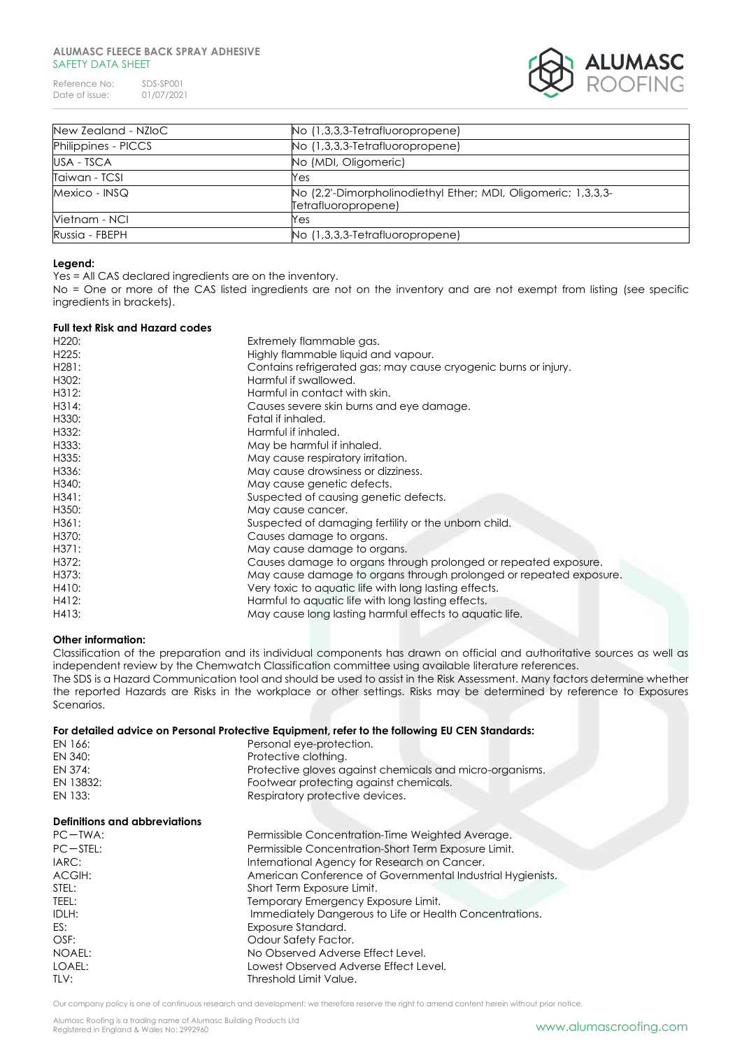Reference No: SDS-SP001<br>Date of issue: 01/07/2021 Date of issue:



| New Zealand - NZloC | No (1,3,3,3-Tetrafluoropropene)                                                      |
|---------------------|--------------------------------------------------------------------------------------|
| Philippines - PICCS | No (1,3,3,3-Tetrafluoropropene)                                                      |
| USA - TSCA          | No (MDI, Oligomeric)                                                                 |
| Taiwan - TCSI       | Yes                                                                                  |
| Mexico - INSQ       | No (2,2'-Dimorpholinodiethyl Ether; MDI, Oligomeric; 1,3,3,3-<br>Tetrafluoropropene) |
| Vietnam - NCI       | Yes                                                                                  |
| Russia - FBEPH      | No (1,3,3,3-Tetrafluoropropene)                                                      |

### **Legend:**

Yes = All CAS declared ingredients are on the inventory.

No = One or more of the CAS listed ingredients are not on the inventory and are not exempt from listing (see specific ingredients in brackets).

### **Full text Risk and Hazard codes**

| H <sub>220</sub> : | Extremely flammable gas.                                           |
|--------------------|--------------------------------------------------------------------|
| H225:              | Highly flammable liquid and vapour.                                |
| H281:              | Contains refrigerated gas; may cause cryogenic burns or injury.    |
| H302:              | Harmful if swallowed.                                              |
| H312:              | Harmful in contact with skin.                                      |
| H314:              | Causes severe skin burns and eye damage.                           |
| H330:              | Fatal if inhaled.                                                  |
| H332:              | Harmful if inhaled.                                                |
| H333:              | May be harmful if inhaled.                                         |
| H335:              | May cause respiratory irritation.                                  |
| H336:              | May cause drowsiness or dizziness.                                 |
| H340:              | May cause genetic defects.                                         |
| H341:              | Suspected of causing genetic defects.                              |
| H350:              | May cause cancer.                                                  |
| H361:              | Suspected of damaging fertility or the unborn child.               |
| H370:              | Causes damage to organs.                                           |
| H371:              | May cause damage to organs.                                        |
| H372:              | Causes damage to organs through prolonged or repeated exposure.    |
| H373:              | May cause damage to organs through prolonged or repeated exposure. |
| H410:              | Very toxic to aquatic life with long lasting effects.              |
| H412:              | Harmful to aquatic life with long lasting effects.                 |
| H413:              | May cause long lasting harmful effects to aquatic life.            |

### **Other information:**

Classification of the preparation and its individual components has drawn on official and authoritative sources as well as independent review by the Chemwatch Classification committee using available literature references. The SDS is a Hazard Communication tool and should be used to assist in the Risk Assessment. Many factors determine whether the reported Hazards are Risks in the workplace or other settings. Risks may be determined by reference to Exposures Scenarios.

#### For detailed advice on Personal Protective Equipment, refer to the following EU CEN Standards:<br>**Personal eve-protection** Personal eye-protection.

| .         | <u>. USUNGI UTU MIUIUUII.</u>                            |
|-----------|----------------------------------------------------------|
| EN 340:   | Protective clothing.                                     |
| FN 374:   | Protective gloves against chemicals and micro-organisms. |
| EN 13832: | Footwear protecting against chemicals.                   |
| EN 133:   | Respiratory protective devices.                          |
|           |                                                          |

### **Definitions and abbreviations**

| $PC-TWA$ :    | Permissible Concentration-Time Weighted Average.           |
|---------------|------------------------------------------------------------|
| $PC - STEL$ : | Permissible Concentration-Short Term Exposure Limit.       |
| IARC:         | International Agency for Research on Cancer.               |
| ACGIH:        | American Conference of Governmental Industrial Hygienists. |
| STEL:         | Short Term Exposure Limit.                                 |
| TEEL:         | Temporary Emergency Exposure Limit.                        |
| IDLH:         | Immediately Dangerous to Life or Health Concentrations.    |
| ES:           | Exposure Standard.                                         |
| OSF:          | Odour Safety Factor.                                       |
| NOAEL:        | No Observed Adverse Effect Level.                          |
| LOAEL:        | Lowest Observed Adverse Effect Level.                      |
| TLV:          | Threshold Limit Value.                                     |

Our company policy is one of continuous research and development; we therefore reserve the right to amend content herein without prior notice.